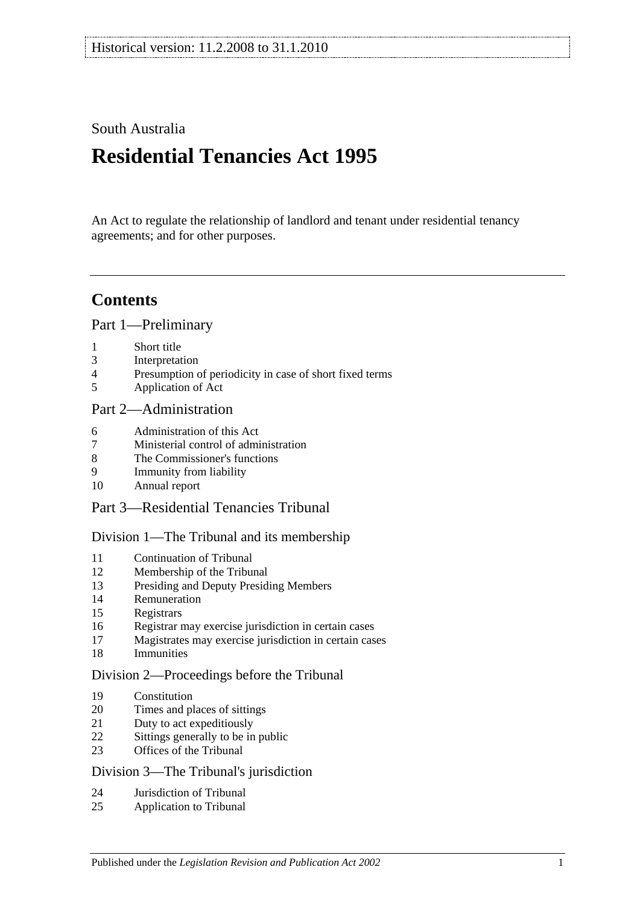## South Australia

# **Residential Tenancies Act 1995**

An Act to regulate the relationship of landlord and tenant under residential tenancy agreements; and for other purposes.

## **Contents**

[Part 1—Preliminary](#page-4-0)

- [Short title](#page-4-1)
- [Interpretation](#page-5-0)
- [Presumption of periodicity in case of short fixed terms](#page-7-0)
- [Application of Act](#page-7-1)

## [Part 2—Administration](#page-8-0)

- [Administration of this Act](#page-8-1)
- [Ministerial control of administration](#page-8-2)
- [The Commissioner's functions](#page-9-0)
- [Immunity from liability](#page-9-1)
- [Annual report](#page-9-2)

## [Part 3—Residential Tenancies Tribunal](#page-9-3)

## [Division 1—The Tribunal and its membership](#page-9-4)

- [Continuation of Tribunal](#page-9-5)<br>12 Membership of the Tribun
- [Membership of the Tribunal](#page-9-6)
- [Presiding and Deputy Presiding Members](#page-10-0)
- [Remuneration](#page-10-1)
- [Registrars](#page-10-2)
- [Registrar may exercise jurisdiction in certain cases](#page-11-0)
- [Magistrates may exercise jurisdiction in certain cases](#page-11-1)
- [Immunities](#page-11-2)

#### [Division 2—Proceedings before the Tribunal](#page-11-3)

- [Constitution](#page-11-4)
- [Times and places of sittings](#page-11-5)
- [Duty to act expeditiously](#page-11-6)
- [Sittings generally to be in public](#page-11-7)
- [Offices of the Tribunal](#page-12-0)

#### Division [3—The Tribunal's jurisdiction](#page-12-1)

- [Jurisdiction of Tribunal](#page-12-2)
- [Application to Tribunal](#page-12-3)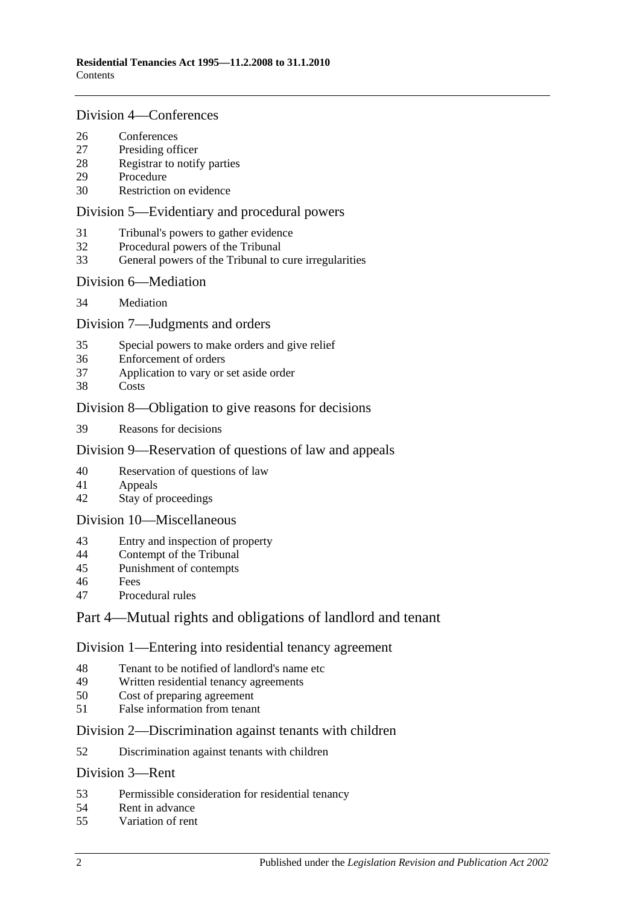#### [Division 4—Conferences](#page-13-0)

- [Conferences](#page-13-1)<br>27 Presiding off
- [Presiding officer](#page-13-2)
- [Registrar to notify parties](#page-13-3)
- [Procedure](#page-13-4)
- [Restriction on evidence](#page-13-5)

#### [Division 5—Evidentiary and procedural powers](#page-14-0)

- [Tribunal's powers to gather evidence](#page-14-1)
- [Procedural powers of the Tribunal](#page-14-2)
- [General powers of the Tribunal to cure irregularities](#page-15-0)

#### [Division 6—Mediation](#page-15-1)

[Mediation](#page-15-2)

#### [Division 7—Judgments and orders](#page-16-0)

- [Special powers to make orders and give relief](#page-16-1)
- [Enforcement of orders](#page-16-2)
- [Application to vary or set aside order](#page-16-3)
- [Costs](#page-16-4)

### [Division 8—Obligation to give reasons for decisions](#page-17-0)

[Reasons for decisions](#page-17-1)

### [Division 9—Reservation of questions of law and appeals](#page-17-2)

- [Reservation of questions of law](#page-17-3)
- [Appeals](#page-17-4)
- [Stay of proceedings](#page-17-5)

#### [Division 10—Miscellaneous](#page-17-6)

- [Entry and inspection of property](#page-17-7)
- [Contempt of the Tribunal](#page-18-0)
- [Punishment of contempts](#page-18-1)
- [Fees](#page-18-2)
- [Procedural rules](#page-18-3)

## [Part 4—Mutual rights and obligations of landlord and tenant](#page-19-0)

#### [Division 1—Entering into residential tenancy agreement](#page-19-1)

- [Tenant to be notified of landlord's name etc](#page-19-2)
- [Written residential tenancy agreements](#page-19-3)<br>50 Cost of preparing agreement
- [Cost of preparing agreement](#page-20-0)
- [False information from tenant](#page-20-1)

#### [Division 2—Discrimination against tenants with children](#page-20-2)

[Discrimination against tenants with children](#page-20-3)

#### [Division 3—Rent](#page-20-4)

- [Permissible consideration for residential tenancy](#page-20-5)
- [Rent in advance](#page-21-0)
- [Variation of rent](#page-21-1)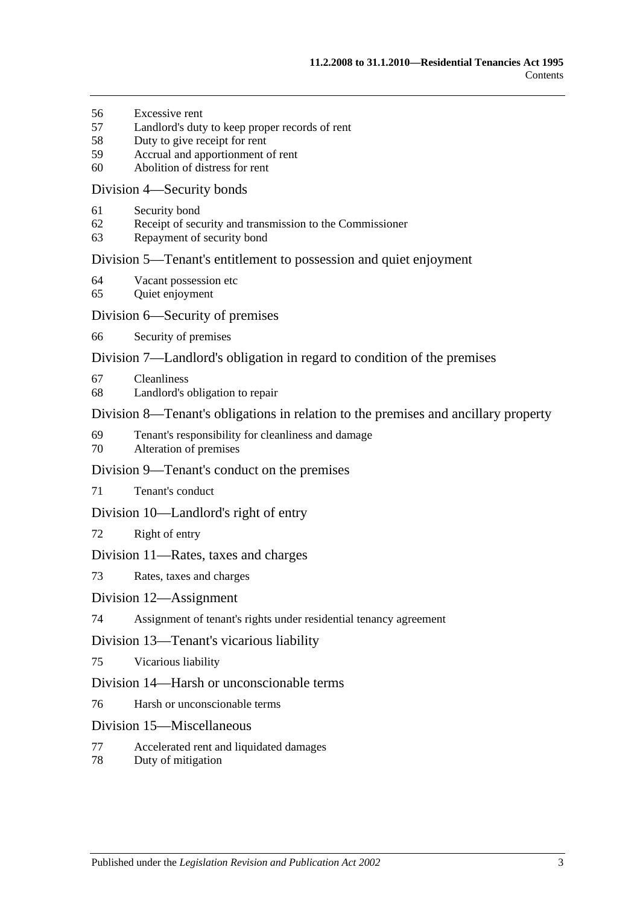- [Excessive rent](#page-22-0)
- [Landlord's duty to keep proper records of rent](#page-23-0)
- [Duty to give receipt for rent](#page-23-1)
- [Accrual and apportionment of rent](#page-23-2)
- [Abolition of distress for rent](#page-24-0)

#### [Division 4—Security bonds](#page-24-1)

- [Security bond](#page-24-2)
- [Receipt of security and transmission to the Commissioner](#page-24-3)
- [Repayment of security bond](#page-25-0)

#### [Division 5—Tenant's entitlement to possession and quiet enjoyment](#page-27-0)

- [Vacant possession etc](#page-27-1)
- [Quiet enjoyment](#page-27-2)

#### [Division 6—Security of premises](#page-28-0)

[Security of premises](#page-28-1)

#### [Division 7—Landlord's obligation in regard to condition of the premises](#page-28-2)

- [Cleanliness](#page-28-3)
- [Landlord's obligation to repair](#page-28-4)

#### [Division 8—Tenant's obligations in relation to the premises and ancillary property](#page-29-0)

- [Tenant's responsibility for cleanliness and damage](#page-29-1)
- [Alteration of premises](#page-30-0)

#### [Division 9—Tenant's conduct on the premises](#page-30-1)

[Tenant's conduct](#page-30-2)

#### [Division 10—Landlord's right of entry](#page-30-3)

[Right of entry](#page-30-4)

#### [Division 11—Rates, taxes and charges](#page-31-0)

[Rates, taxes and charges](#page-31-1)

#### [Division 12—Assignment](#page-31-2)

[Assignment of tenant's rights under residential tenancy agreement](#page-31-3)

#### [Division 13—Tenant's vicarious liability](#page-32-0)

[Vicarious liability](#page-32-1)

#### [Division 14—Harsh or unconscionable terms](#page-32-2)

[Harsh or unconscionable terms](#page-32-3)

#### [Division 15—Miscellaneous](#page-33-0)

- [Accelerated rent and liquidated damages](#page-33-1)
- [Duty of mitigation](#page-33-2)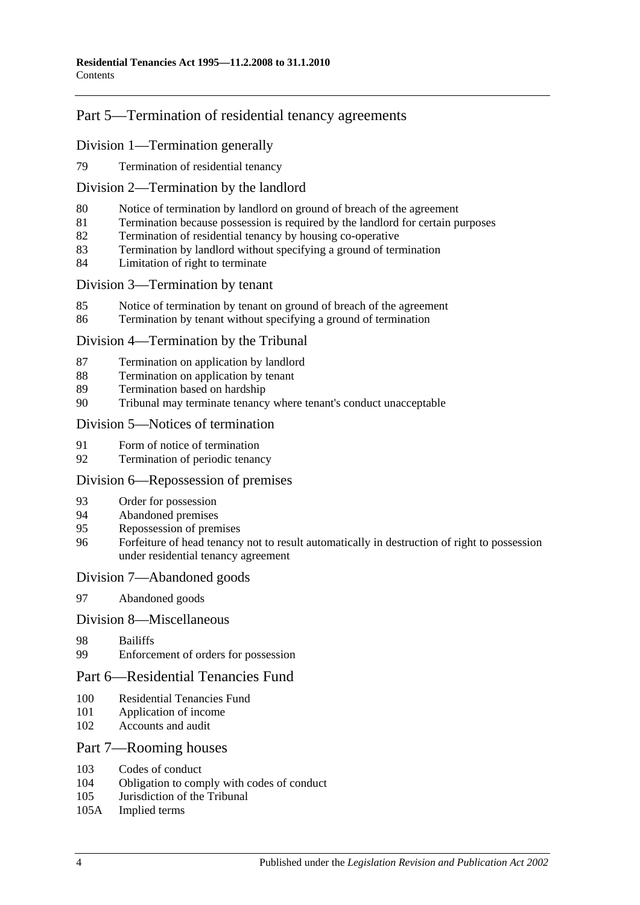## [Part 5—Termination of residential tenancy agreements](#page-33-3)

### [Division 1—Termination generally](#page-33-4)

[Termination of residential tenancy](#page-33-5)

#### [Division 2—Termination by the landlord](#page-34-0)

- [Notice of termination by landlord on ground of breach of the agreement](#page-34-1)
- [Termination because possession is required by the landlord for certain purposes](#page-35-0)
- [Termination of residential tenancy by housing co-operative](#page-35-1)
- [Termination by landlord without specifying a ground of termination](#page-36-0)
- [Limitation of right to terminate](#page-36-1)

#### [Division 3—Termination by tenant](#page-36-2)

- [Notice of termination by tenant on ground of breach of the agreement](#page-36-3)
- [Termination by tenant without specifying a ground of termination](#page-37-0)

#### [Division 4—Termination by the Tribunal](#page-37-1)

- [Termination on application by landlord](#page-37-2)
- [Termination on application by tenant](#page-38-0)
- [Termination based on hardship](#page-38-1)
- [Tribunal may terminate tenancy where tenant's conduct unacceptable](#page-38-2)

#### [Division 5—Notices of termination](#page-39-0)

- [Form of notice of termination](#page-39-1)
- [Termination of periodic tenancy](#page-39-2)

#### [Division 6—Repossession of premises](#page-40-0)

- [Order for possession](#page-40-1)
- [Abandoned premises](#page-40-2)
- [Repossession of premises](#page-41-0)
- [Forfeiture of head tenancy not to result automatically in destruction of right to possession](#page-41-1)  [under residential tenancy agreement](#page-41-1)

#### [Division 7—Abandoned goods](#page-41-2)

[Abandoned goods](#page-41-3)

#### [Division 8—Miscellaneous](#page-43-0)

- [Bailiffs](#page-43-1)
- [Enforcement of orders for possession](#page-43-2)

### [Part 6—Residential Tenancies Fund](#page-43-3)

- [Residential Tenancies Fund](#page-43-4)
- [Application of income](#page-44-0)
- [Accounts and audit](#page-44-1)

#### [Part 7—Rooming houses](#page-44-2)

- [Codes of conduct](#page-44-3)<br>104 Obligation to com
- [Obligation to comply with codes of conduct](#page-44-4)
- [Jurisdiction of the Tribunal](#page-45-0)
- 105A [Implied terms](#page-45-1)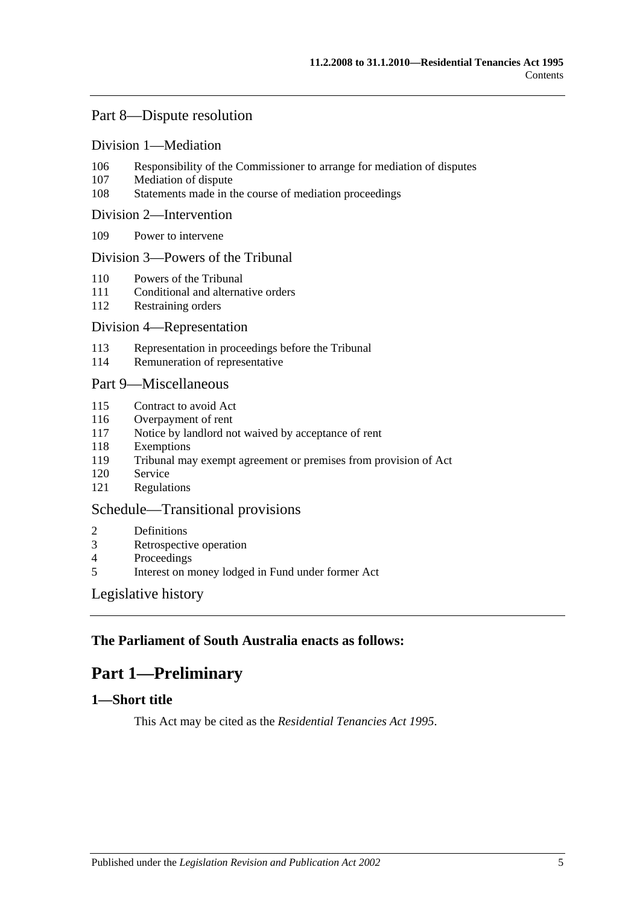## [Part 8—Dispute resolution](#page-45-2)

#### [Division 1—Mediation](#page-45-3)

- 106 [Responsibility of the Commissioner to arrange for mediation of disputes](#page-45-4)
- 107 [Mediation of dispute](#page-45-5)
- 108 [Statements made in the course of mediation proceedings](#page-45-6)

#### [Division 2—Intervention](#page-45-7)

109 [Power to intervene](#page-45-8)

#### [Division 3—Powers of the Tribunal](#page-45-9)

- 110 [Powers of the Tribunal](#page-45-10)
- 111 [Conditional and alternative orders](#page-46-0)
- 112 [Restraining orders](#page-46-1)

#### [Division 4—Representation](#page-47-0)

- 113 [Representation in proceedings before the Tribunal](#page-47-1)
- 114 [Remuneration of representative](#page-48-0)

#### [Part 9—Miscellaneous](#page-48-1)

- 115 [Contract to avoid Act](#page-48-2)
- 116 [Overpayment of rent](#page-48-3)
- 117 [Notice by landlord not waived by acceptance of rent](#page-48-4)
- 118 [Exemptions](#page-48-5)
- 119 [Tribunal may exempt agreement or premises from provision of Act](#page-49-0)
- 120 [Service](#page-49-1)
- 121 [Regulations](#page-49-2)

#### [Schedule—Transitional provisions](#page-49-3)

- 2 [Definitions](#page-49-4)
- 3 [Retrospective operation](#page-50-0)
- 4 [Proceedings](#page-50-1)<br>5 Interest on m
- 5 [Interest on money lodged in Fund under former Act](#page-50-2)

#### [Legislative history](#page-51-0)

## <span id="page-4-0"></span>**The Parliament of South Australia enacts as follows:**

## **Part 1—Preliminary**

### <span id="page-4-1"></span>**1—Short title**

This Act may be cited as the *Residential Tenancies Act 1995*.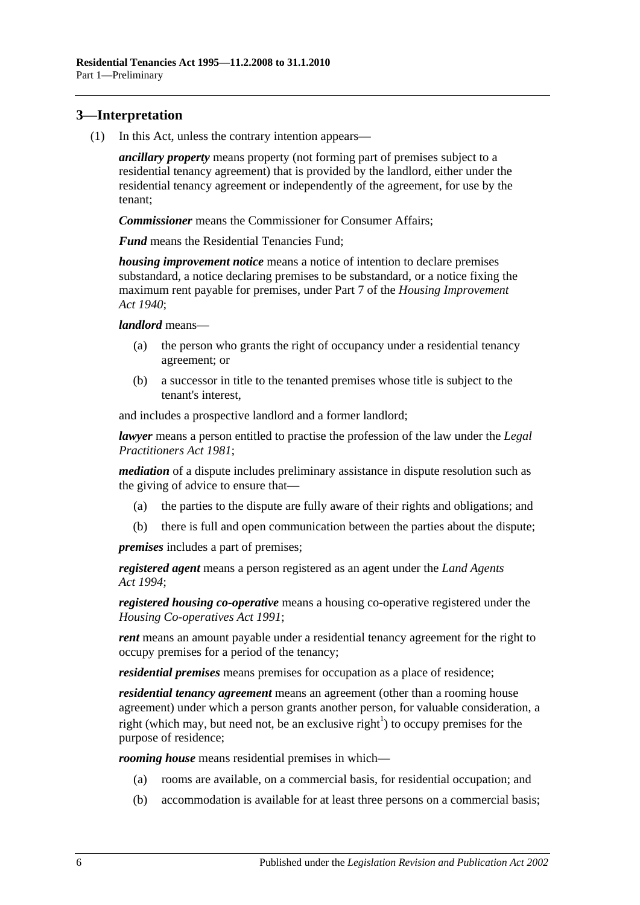## <span id="page-5-0"></span>**3—Interpretation**

(1) In this Act, unless the contrary intention appears—

*ancillary property* means property (not forming part of premises subject to a residential tenancy agreement) that is provided by the landlord, either under the residential tenancy agreement or independently of the agreement, for use by the tenant;

*Commissioner* means the Commissioner for Consumer Affairs;

*Fund* means the Residential Tenancies Fund;

*housing improvement notice* means a notice of intention to declare premises substandard, a notice declaring premises to be substandard, or a notice fixing the maximum rent payable for premises, under Part 7 of the *[Housing Improvement](http://www.legislation.sa.gov.au/index.aspx?action=legref&type=act&legtitle=Housing%20Improvement%20Act%201940)  Act [1940](http://www.legislation.sa.gov.au/index.aspx?action=legref&type=act&legtitle=Housing%20Improvement%20Act%201940)*;

*landlord* means—

- (a) the person who grants the right of occupancy under a residential tenancy agreement; or
- (b) a successor in title to the tenanted premises whose title is subject to the tenant's interest,

and includes a prospective landlord and a former landlord;

*lawyer* means a person entitled to practise the profession of the law under the *[Legal](http://www.legislation.sa.gov.au/index.aspx?action=legref&type=act&legtitle=Legal%20Practitioners%20Act%201981)  [Practitioners Act](http://www.legislation.sa.gov.au/index.aspx?action=legref&type=act&legtitle=Legal%20Practitioners%20Act%201981) 1981*;

*mediation* of a dispute includes preliminary assistance in dispute resolution such as the giving of advice to ensure that—

- (a) the parties to the dispute are fully aware of their rights and obligations; and
- (b) there is full and open communication between the parties about the dispute;

*premises* includes a part of premises;

*registered agent* means a person registered as an agent under the *[Land Agents](http://www.legislation.sa.gov.au/index.aspx?action=legref&type=act&legtitle=Land%20Agents%20Act%201994)  Act [1994](http://www.legislation.sa.gov.au/index.aspx?action=legref&type=act&legtitle=Land%20Agents%20Act%201994)*;

*registered housing co-operative* means a housing co-operative registered under the *[Housing Co-operatives Act](http://www.legislation.sa.gov.au/index.aspx?action=legref&type=act&legtitle=Housing%20Co-operatives%20Act%201991) 1991*;

*rent* means an amount payable under a residential tenancy agreement for the right to occupy premises for a period of the tenancy;

*residential premises* means premises for occupation as a place of residence;

*residential tenancy agreement* means an agreement (other than a rooming house agreement) under which a person grants another person, for valuable consideration, a right (which may, but need not, be an exclusive right<sup>1</sup>) to occupy premises for the purpose of residence;

*rooming house* means residential premises in which—

- (a) rooms are available, on a commercial basis, for residential occupation; and
- (b) accommodation is available for at least three persons on a commercial basis;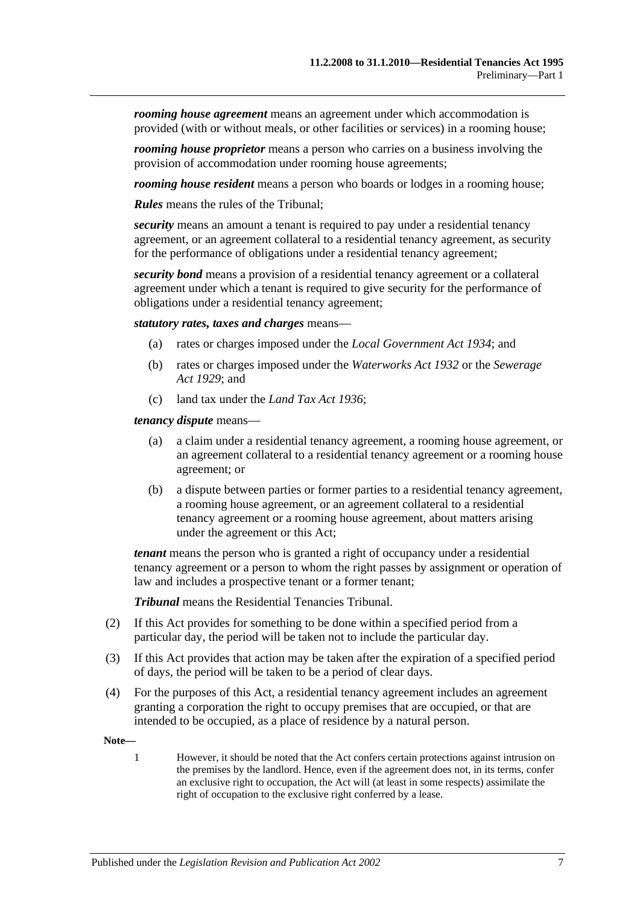*rooming house agreement* means an agreement under which accommodation is provided (with or without meals, or other facilities or services) in a rooming house;

*rooming house proprietor* means a person who carries on a business involving the provision of accommodation under rooming house agreements;

*rooming house resident* means a person who boards or lodges in a rooming house;

*Rules* means the rules of the Tribunal;

*security* means an amount a tenant is required to pay under a residential tenancy agreement, or an agreement collateral to a residential tenancy agreement, as security for the performance of obligations under a residential tenancy agreement;

*security bond* means a provision of a residential tenancy agreement or a collateral agreement under which a tenant is required to give security for the performance of obligations under a residential tenancy agreement;

*statutory rates, taxes and charges* means—

- (a) rates or charges imposed under the *[Local Government Act](http://www.legislation.sa.gov.au/index.aspx?action=legref&type=act&legtitle=Local%20Government%20Act%201934) 1934*; and
- (b) rates or charges imposed under the *[Waterworks Act](http://www.legislation.sa.gov.au/index.aspx?action=legref&type=act&legtitle=Waterworks%20Act%201932) 1932* or the *[Sewerage](http://www.legislation.sa.gov.au/index.aspx?action=legref&type=act&legtitle=Sewerage%20Act%201929)  Act [1929](http://www.legislation.sa.gov.au/index.aspx?action=legref&type=act&legtitle=Sewerage%20Act%201929)*; and
- (c) land tax under the *[Land Tax Act](http://www.legislation.sa.gov.au/index.aspx?action=legref&type=act&legtitle=Land%20Tax%20Act%201936) 1936*;

*tenancy dispute* means—

- (a) a claim under a residential tenancy agreement, a rooming house agreement, or an agreement collateral to a residential tenancy agreement or a rooming house agreement; or
- (b) a dispute between parties or former parties to a residential tenancy agreement, a rooming house agreement, or an agreement collateral to a residential tenancy agreement or a rooming house agreement, about matters arising under the agreement or this Act;

*tenant* means the person who is granted a right of occupancy under a residential tenancy agreement or a person to whom the right passes by assignment or operation of law and includes a prospective tenant or a former tenant;

*Tribunal* means the Residential Tenancies Tribunal.

- (2) If this Act provides for something to be done within a specified period from a particular day, the period will be taken not to include the particular day.
- (3) If this Act provides that action may be taken after the expiration of a specified period of days, the period will be taken to be a period of clear days.
- (4) For the purposes of this Act, a residential tenancy agreement includes an agreement granting a corporation the right to occupy premises that are occupied, or that are intended to be occupied, as a place of residence by a natural person.

**Note—**

1 However, it should be noted that the Act confers certain protections against intrusion on the premises by the landlord. Hence, even if the agreement does not, in its terms, confer an exclusive right to occupation, the Act will (at least in some respects) assimilate the right of occupation to the exclusive right conferred by a lease.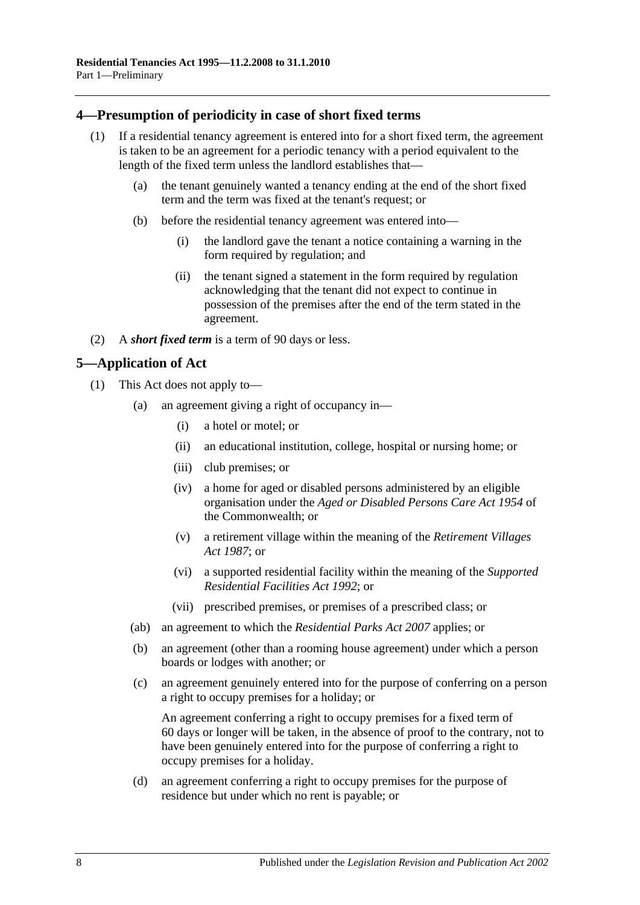## <span id="page-7-0"></span>**4—Presumption of periodicity in case of short fixed terms**

- (1) If a residential tenancy agreement is entered into for a short fixed term, the agreement is taken to be an agreement for a periodic tenancy with a period equivalent to the length of the fixed term unless the landlord establishes that—
	- (a) the tenant genuinely wanted a tenancy ending at the end of the short fixed term and the term was fixed at the tenant's request; or
	- (b) before the residential tenancy agreement was entered into—
		- (i) the landlord gave the tenant a notice containing a warning in the form required by regulation; and
		- (ii) the tenant signed a statement in the form required by regulation acknowledging that the tenant did not expect to continue in possession of the premises after the end of the term stated in the agreement.
- (2) A *short fixed term* is a term of 90 days or less.

## <span id="page-7-1"></span>**5—Application of Act**

- (1) This Act does not apply to—
	- (a) an agreement giving a right of occupancy in—
		- (i) a hotel or motel; or
		- (ii) an educational institution, college, hospital or nursing home; or
		- (iii) club premises; or
		- (iv) a home for aged or disabled persons administered by an eligible organisation under the *Aged or Disabled Persons Care Act 1954* of the Commonwealth; or
		- (v) a retirement village within the meaning of the *[Retirement Villages](http://www.legislation.sa.gov.au/index.aspx?action=legref&type=act&legtitle=Retirement%20Villages%20Act%201987)  Act [1987](http://www.legislation.sa.gov.au/index.aspx?action=legref&type=act&legtitle=Retirement%20Villages%20Act%201987)*; or
		- (vi) a supported residential facility within the meaning of the *[Supported](http://www.legislation.sa.gov.au/index.aspx?action=legref&type=act&legtitle=Supported%20Residential%20Facilities%20Act%201992)  [Residential Facilities Act](http://www.legislation.sa.gov.au/index.aspx?action=legref&type=act&legtitle=Supported%20Residential%20Facilities%20Act%201992) 1992*; or
		- (vii) prescribed premises, or premises of a prescribed class; or
	- (ab) an agreement to which the *[Residential Parks Act](http://www.legislation.sa.gov.au/index.aspx?action=legref&type=act&legtitle=Residential%20Parks%20Act%202007) 2007* applies; or
	- (b) an agreement (other than a rooming house agreement) under which a person boards or lodges with another; or
	- (c) an agreement genuinely entered into for the purpose of conferring on a person a right to occupy premises for a holiday; or

An agreement conferring a right to occupy premises for a fixed term of 60 days or longer will be taken, in the absence of proof to the contrary, not to have been genuinely entered into for the purpose of conferring a right to occupy premises for a holiday.

(d) an agreement conferring a right to occupy premises for the purpose of residence but under which no rent is payable; or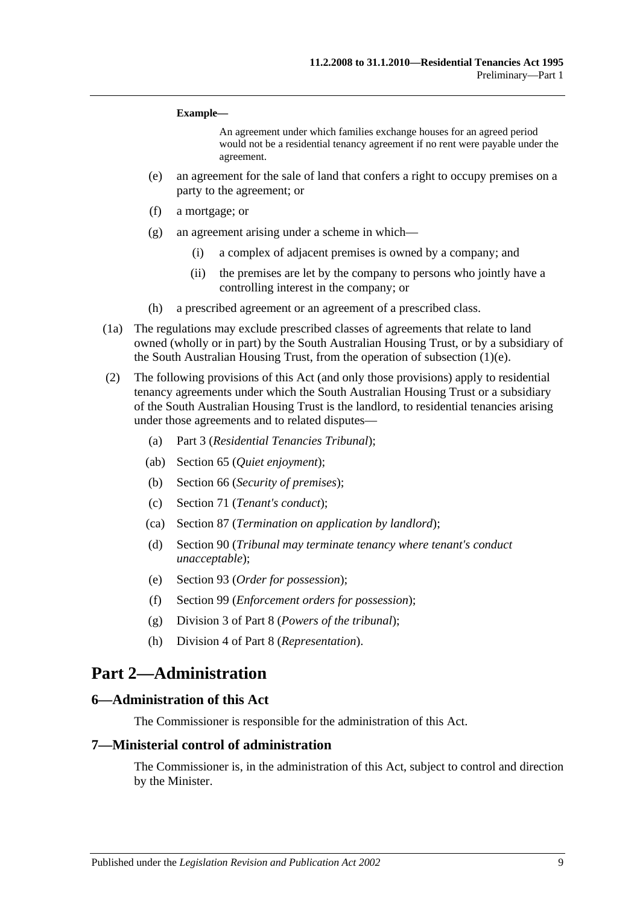#### **Example—**

An agreement under which families exchange houses for an agreed period would not be a residential tenancy agreement if no rent were payable under the agreement.

- <span id="page-8-3"></span>(e) an agreement for the sale of land that confers a right to occupy premises on a party to the agreement; or
- (f) a mortgage; or
- (g) an agreement arising under a scheme in which—
	- (i) a complex of adjacent premises is owned by a company; and
	- (ii) the premises are let by the company to persons who jointly have a controlling interest in the company; or
- (h) a prescribed agreement or an agreement of a prescribed class.
- (1a) The regulations may exclude prescribed classes of agreements that relate to land owned (wholly or in part) by the South Australian Housing Trust, or by a subsidiary of the South Australian Housing Trust, from the operation of [subsection](#page-8-3) (1)(e).
- (2) The following provisions of this Act (and only those provisions) apply to residential tenancy agreements under which the South Australian Housing Trust or a subsidiary of the South Australian Housing Trust is the landlord, to residential tenancies arising under those agreements and to related disputes—
	- (a) [Part 3](#page-9-3) (*Residential Tenancies Tribunal*);
	- (ab) Section 65 (*Quiet enjoyment*);
	- (b) [Section](#page-28-1) 66 (*Security of premises*);
	- (c) [Section](#page-30-2) 71 (*Tenant's conduct*);
	- (ca) Section 87 (*Termination on application by landlord*);
	- (d) [Section](#page-38-2) 90 (*Tribunal may terminate tenancy where tenant's conduct unacceptable*);
	- (e) [Section](#page-40-1) 93 (*Order for possession*);
	- (f) [Section](#page-43-2) 99 (*Enforcement orders for possession*);
	- (g) [Division 3](#page-45-9) of [Part 8](#page-45-2) (*Powers of the tribunal*);
	- (h) [Division 4](#page-47-0) of [Part 8](#page-45-2) (*Representation*).

## <span id="page-8-0"></span>**Part 2—Administration**

#### <span id="page-8-1"></span>**6—Administration of this Act**

The Commissioner is responsible for the administration of this Act.

#### <span id="page-8-2"></span>**7—Ministerial control of administration**

The Commissioner is, in the administration of this Act, subject to control and direction by the Minister.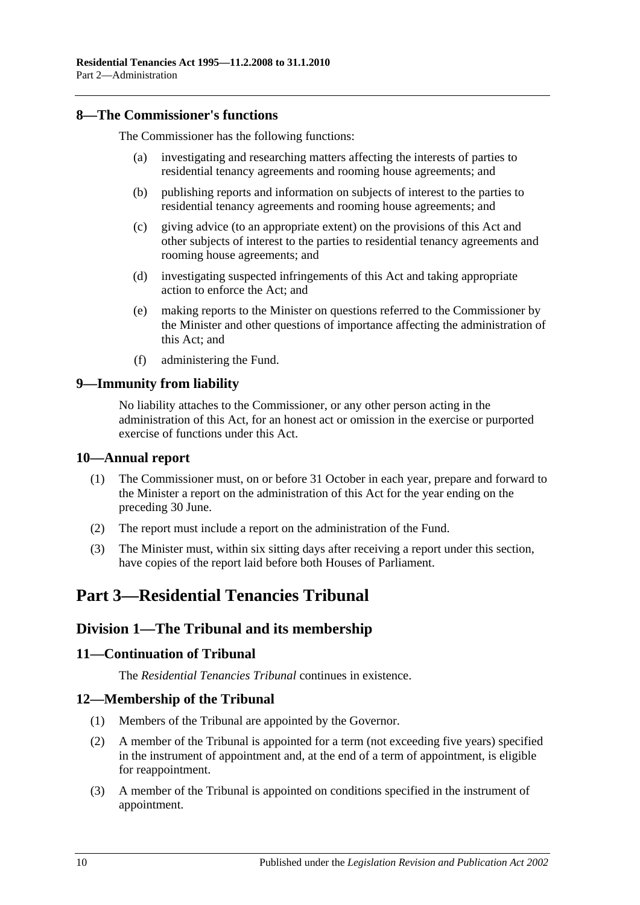### <span id="page-9-0"></span>**8—The Commissioner's functions**

The Commissioner has the following functions:

- (a) investigating and researching matters affecting the interests of parties to residential tenancy agreements and rooming house agreements; and
- (b) publishing reports and information on subjects of interest to the parties to residential tenancy agreements and rooming house agreements; and
- (c) giving advice (to an appropriate extent) on the provisions of this Act and other subjects of interest to the parties to residential tenancy agreements and rooming house agreements; and
- (d) investigating suspected infringements of this Act and taking appropriate action to enforce the Act; and
- (e) making reports to the Minister on questions referred to the Commissioner by the Minister and other questions of importance affecting the administration of this Act; and
- (f) administering the Fund.

#### <span id="page-9-1"></span>**9—Immunity from liability**

No liability attaches to the Commissioner, or any other person acting in the administration of this Act, for an honest act or omission in the exercise or purported exercise of functions under this Act.

#### <span id="page-9-2"></span>**10—Annual report**

- (1) The Commissioner must, on or before 31 October in each year, prepare and forward to the Minister a report on the administration of this Act for the year ending on the preceding 30 June.
- (2) The report must include a report on the administration of the Fund.
- (3) The Minister must, within six sitting days after receiving a report under this section, have copies of the report laid before both Houses of Parliament.

## <span id="page-9-3"></span>**Part 3—Residential Tenancies Tribunal**

## <span id="page-9-4"></span>**Division 1—The Tribunal and its membership**

## <span id="page-9-5"></span>**11—Continuation of Tribunal**

The *Residential Tenancies Tribunal* continues in existence.

## <span id="page-9-6"></span>**12—Membership of the Tribunal**

- (1) Members of the Tribunal are appointed by the Governor.
- (2) A member of the Tribunal is appointed for a term (not exceeding five years) specified in the instrument of appointment and, at the end of a term of appointment, is eligible for reappointment.
- (3) A member of the Tribunal is appointed on conditions specified in the instrument of appointment.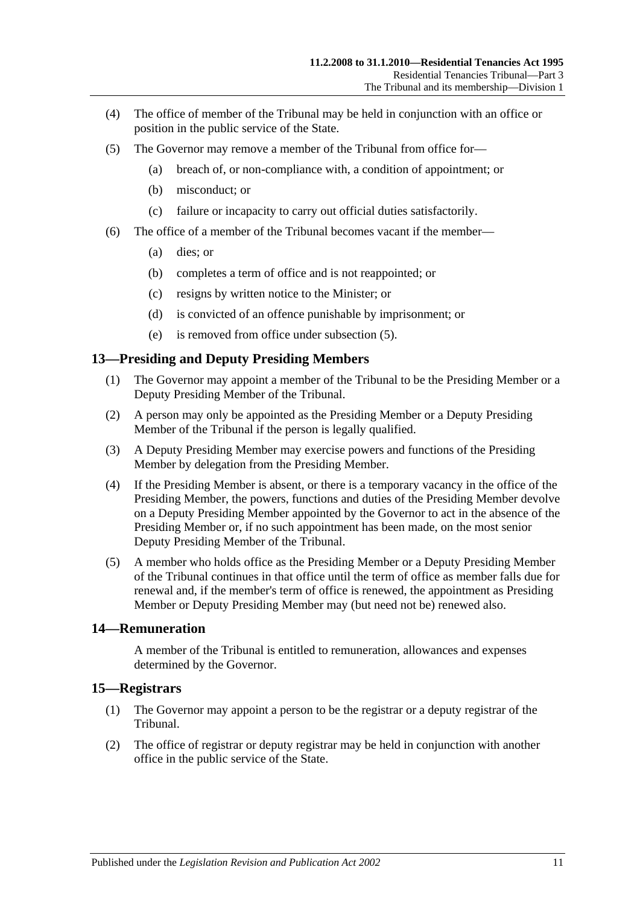- (4) The office of member of the Tribunal may be held in conjunction with an office or position in the public service of the State.
- <span id="page-10-3"></span>(5) The Governor may remove a member of the Tribunal from office for—
	- (a) breach of, or non-compliance with, a condition of appointment; or
	- (b) misconduct; or
	- (c) failure or incapacity to carry out official duties satisfactorily.
- (6) The office of a member of the Tribunal becomes vacant if the member—
	- (a) dies; or
	- (b) completes a term of office and is not reappointed; or
	- (c) resigns by written notice to the Minister; or
	- (d) is convicted of an offence punishable by imprisonment; or
	- (e) is removed from office under [subsection](#page-10-3) (5).

#### <span id="page-10-0"></span>**13—Presiding and Deputy Presiding Members**

- (1) The Governor may appoint a member of the Tribunal to be the Presiding Member or a Deputy Presiding Member of the Tribunal.
- (2) A person may only be appointed as the Presiding Member or a Deputy Presiding Member of the Tribunal if the person is legally qualified.
- (3) A Deputy Presiding Member may exercise powers and functions of the Presiding Member by delegation from the Presiding Member.
- (4) If the Presiding Member is absent, or there is a temporary vacancy in the office of the Presiding Member, the powers, functions and duties of the Presiding Member devolve on a Deputy Presiding Member appointed by the Governor to act in the absence of the Presiding Member or, if no such appointment has been made, on the most senior Deputy Presiding Member of the Tribunal.
- (5) A member who holds office as the Presiding Member or a Deputy Presiding Member of the Tribunal continues in that office until the term of office as member falls due for renewal and, if the member's term of office is renewed, the appointment as Presiding Member or Deputy Presiding Member may (but need not be) renewed also.

## <span id="page-10-1"></span>**14—Remuneration**

A member of the Tribunal is entitled to remuneration, allowances and expenses determined by the Governor.

#### <span id="page-10-2"></span>**15—Registrars**

- (1) The Governor may appoint a person to be the registrar or a deputy registrar of the Tribunal.
- (2) The office of registrar or deputy registrar may be held in conjunction with another office in the public service of the State.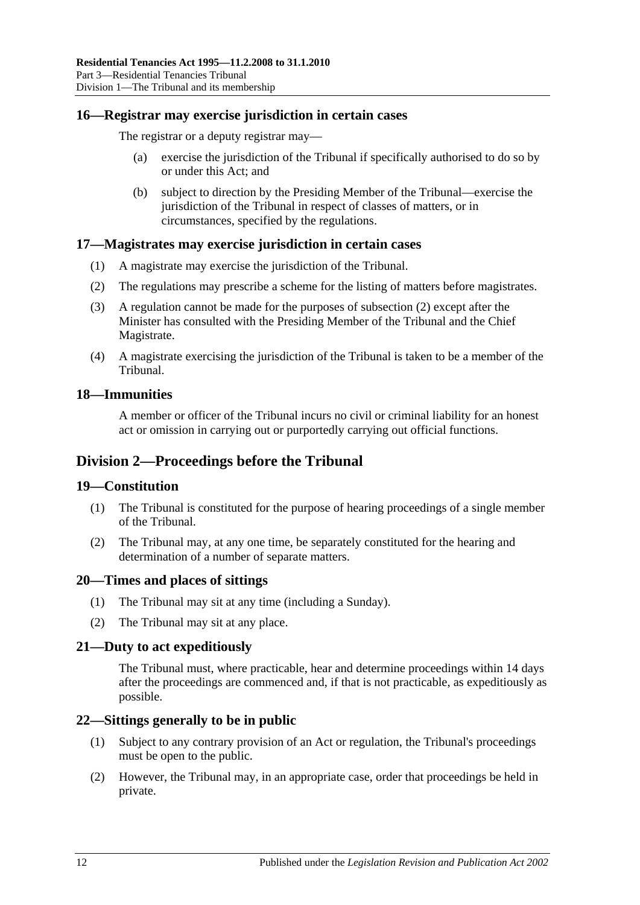### <span id="page-11-0"></span>**16—Registrar may exercise jurisdiction in certain cases**

The registrar or a deputy registrar may—

- (a) exercise the jurisdiction of the Tribunal if specifically authorised to do so by or under this Act; and
- (b) subject to direction by the Presiding Member of the Tribunal—exercise the jurisdiction of the Tribunal in respect of classes of matters, or in circumstances, specified by the regulations.

#### <span id="page-11-1"></span>**17—Magistrates may exercise jurisdiction in certain cases**

- (1) A magistrate may exercise the jurisdiction of the Tribunal.
- <span id="page-11-8"></span>(2) The regulations may prescribe a scheme for the listing of matters before magistrates.
- (3) A regulation cannot be made for the purposes of [subsection](#page-11-8) (2) except after the Minister has consulted with the Presiding Member of the Tribunal and the Chief Magistrate.
- (4) A magistrate exercising the jurisdiction of the Tribunal is taken to be a member of the Tribunal.

#### <span id="page-11-2"></span>**18—Immunities**

A member or officer of the Tribunal incurs no civil or criminal liability for an honest act or omission in carrying out or purportedly carrying out official functions.

## <span id="page-11-3"></span>**Division 2—Proceedings before the Tribunal**

#### <span id="page-11-4"></span>**19—Constitution**

- (1) The Tribunal is constituted for the purpose of hearing proceedings of a single member of the Tribunal.
- (2) The Tribunal may, at any one time, be separately constituted for the hearing and determination of a number of separate matters.

#### <span id="page-11-5"></span>**20—Times and places of sittings**

- (1) The Tribunal may sit at any time (including a Sunday).
- (2) The Tribunal may sit at any place.

## <span id="page-11-6"></span>**21—Duty to act expeditiously**

The Tribunal must, where practicable, hear and determine proceedings within 14 days after the proceedings are commenced and, if that is not practicable, as expeditiously as possible.

## <span id="page-11-7"></span>**22—Sittings generally to be in public**

- (1) Subject to any contrary provision of an Act or regulation, the Tribunal's proceedings must be open to the public.
- (2) However, the Tribunal may, in an appropriate case, order that proceedings be held in private.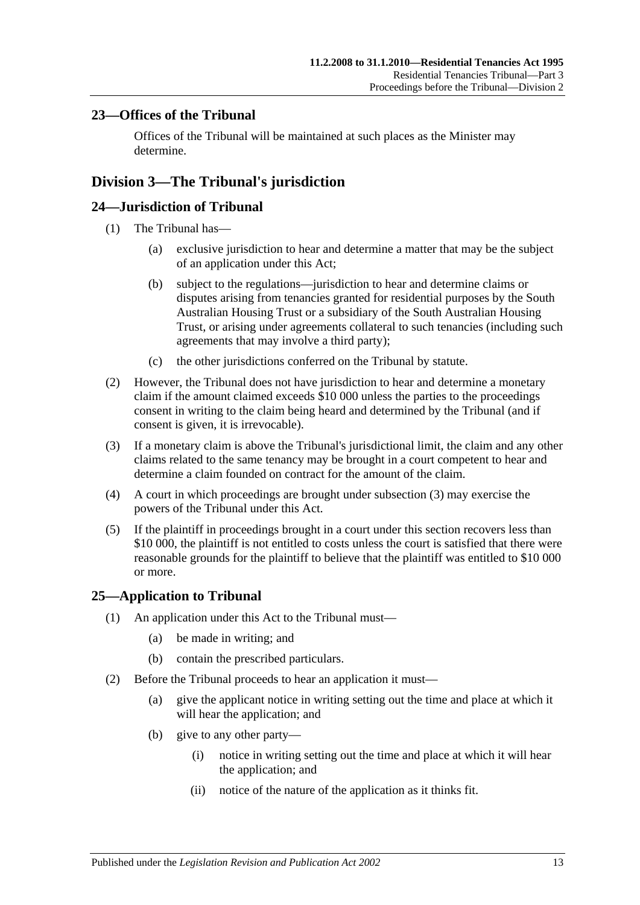## <span id="page-12-0"></span>**23—Offices of the Tribunal**

Offices of the Tribunal will be maintained at such places as the Minister may determine.

## <span id="page-12-1"></span>**Division 3—The Tribunal's jurisdiction**

## <span id="page-12-2"></span>**24—Jurisdiction of Tribunal**

- (1) The Tribunal has—
	- (a) exclusive jurisdiction to hear and determine a matter that may be the subject of an application under this Act;
	- (b) subject to the regulations—jurisdiction to hear and determine claims or disputes arising from tenancies granted for residential purposes by the South Australian Housing Trust or a subsidiary of the South Australian Housing Trust, or arising under agreements collateral to such tenancies (including such agreements that may involve a third party);
	- (c) the other jurisdictions conferred on the Tribunal by statute.
- (2) However, the Tribunal does not have jurisdiction to hear and determine a monetary claim if the amount claimed exceeds \$10 000 unless the parties to the proceedings consent in writing to the claim being heard and determined by the Tribunal (and if consent is given, it is irrevocable).
- <span id="page-12-4"></span>(3) If a monetary claim is above the Tribunal's jurisdictional limit, the claim and any other claims related to the same tenancy may be brought in a court competent to hear and determine a claim founded on contract for the amount of the claim.
- (4) A court in which proceedings are brought under [subsection](#page-12-4) (3) may exercise the powers of the Tribunal under this Act.
- (5) If the plaintiff in proceedings brought in a court under this section recovers less than \$10 000, the plaintiff is not entitled to costs unless the court is satisfied that there were reasonable grounds for the plaintiff to believe that the plaintiff was entitled to \$10 000 or more.

## <span id="page-12-3"></span>**25—Application to Tribunal**

- (1) An application under this Act to the Tribunal must—
	- (a) be made in writing; and
	- (b) contain the prescribed particulars.
- (2) Before the Tribunal proceeds to hear an application it must—
	- (a) give the applicant notice in writing setting out the time and place at which it will hear the application; and
	- (b) give to any other party—
		- (i) notice in writing setting out the time and place at which it will hear the application; and
		- (ii) notice of the nature of the application as it thinks fit.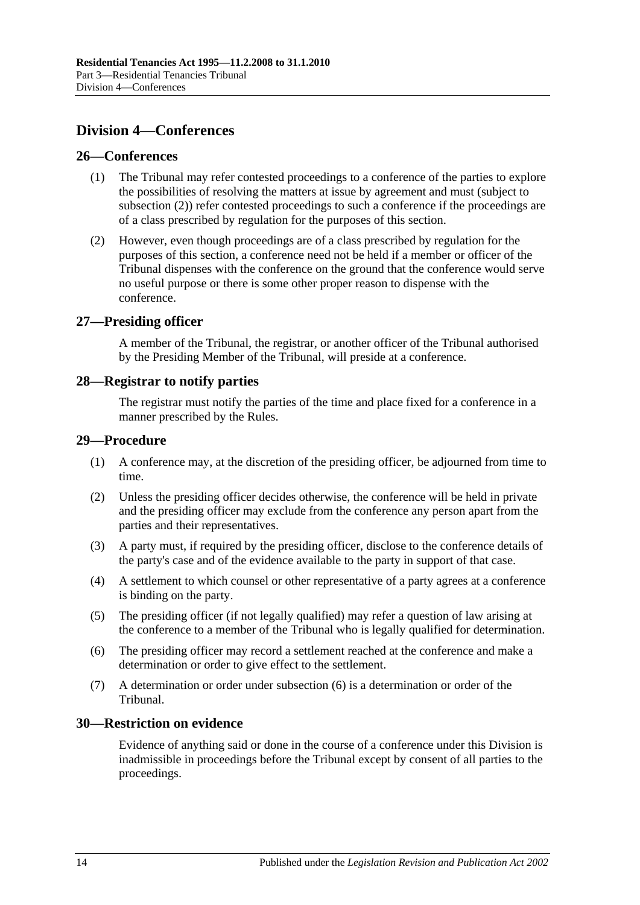## <span id="page-13-0"></span>**Division 4—Conferences**

#### <span id="page-13-1"></span>**26—Conferences**

- (1) The Tribunal may refer contested proceedings to a conference of the parties to explore the possibilities of resolving the matters at issue by agreement and must (subject to [subsection](#page-13-6) (2)) refer contested proceedings to such a conference if the proceedings are of a class prescribed by regulation for the purposes of this section.
- <span id="page-13-6"></span>(2) However, even though proceedings are of a class prescribed by regulation for the purposes of this section, a conference need not be held if a member or officer of the Tribunal dispenses with the conference on the ground that the conference would serve no useful purpose or there is some other proper reason to dispense with the conference.

#### <span id="page-13-2"></span>**27—Presiding officer**

A member of the Tribunal, the registrar, or another officer of the Tribunal authorised by the Presiding Member of the Tribunal, will preside at a conference.

#### <span id="page-13-3"></span>**28—Registrar to notify parties**

The registrar must notify the parties of the time and place fixed for a conference in a manner prescribed by the Rules.

#### <span id="page-13-4"></span>**29—Procedure**

- (1) A conference may, at the discretion of the presiding officer, be adjourned from time to time.
- (2) Unless the presiding officer decides otherwise, the conference will be held in private and the presiding officer may exclude from the conference any person apart from the parties and their representatives.
- (3) A party must, if required by the presiding officer, disclose to the conference details of the party's case and of the evidence available to the party in support of that case.
- (4) A settlement to which counsel or other representative of a party agrees at a conference is binding on the party.
- (5) The presiding officer (if not legally qualified) may refer a question of law arising at the conference to a member of the Tribunal who is legally qualified for determination.
- <span id="page-13-7"></span>(6) The presiding officer may record a settlement reached at the conference and make a determination or order to give effect to the settlement.
- (7) A determination or order under [subsection](#page-13-7) (6) is a determination or order of the Tribunal.

## <span id="page-13-5"></span>**30—Restriction on evidence**

Evidence of anything said or done in the course of a conference under this Division is inadmissible in proceedings before the Tribunal except by consent of all parties to the proceedings.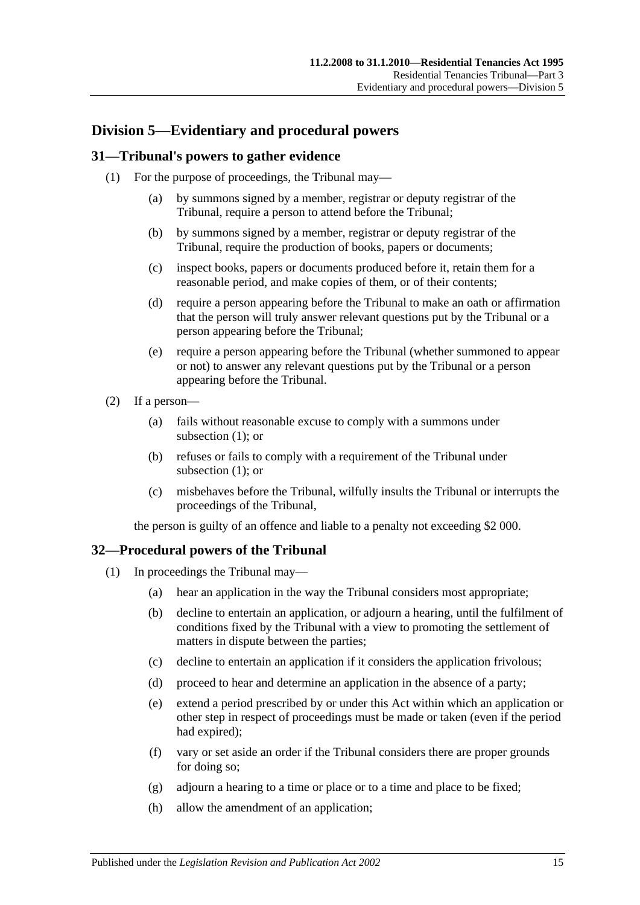## <span id="page-14-0"></span>**Division 5—Evidentiary and procedural powers**

#### <span id="page-14-3"></span><span id="page-14-1"></span>**31—Tribunal's powers to gather evidence**

- (1) For the purpose of proceedings, the Tribunal may—
	- (a) by summons signed by a member, registrar or deputy registrar of the Tribunal, require a person to attend before the Tribunal;
	- (b) by summons signed by a member, registrar or deputy registrar of the Tribunal, require the production of books, papers or documents;
	- (c) inspect books, papers or documents produced before it, retain them for a reasonable period, and make copies of them, or of their contents;
	- (d) require a person appearing before the Tribunal to make an oath or affirmation that the person will truly answer relevant questions put by the Tribunal or a person appearing before the Tribunal;
	- (e) require a person appearing before the Tribunal (whether summoned to appear or not) to answer any relevant questions put by the Tribunal or a person appearing before the Tribunal.
- (2) If a person—
	- (a) fails without reasonable excuse to comply with a summons under [subsection](#page-14-3) (1); or
	- (b) refuses or fails to comply with a requirement of the Tribunal under [subsection](#page-14-3) (1); or
	- (c) misbehaves before the Tribunal, wilfully insults the Tribunal or interrupts the proceedings of the Tribunal,

the person is guilty of an offence and liable to a penalty not exceeding \$2 000.

## <span id="page-14-2"></span>**32—Procedural powers of the Tribunal**

- (1) In proceedings the Tribunal may—
	- (a) hear an application in the way the Tribunal considers most appropriate;
	- (b) decline to entertain an application, or adjourn a hearing, until the fulfilment of conditions fixed by the Tribunal with a view to promoting the settlement of matters in dispute between the parties;
	- (c) decline to entertain an application if it considers the application frivolous;
	- (d) proceed to hear and determine an application in the absence of a party;
	- (e) extend a period prescribed by or under this Act within which an application or other step in respect of proceedings must be made or taken (even if the period had expired);
	- (f) vary or set aside an order if the Tribunal considers there are proper grounds for doing so;
	- (g) adjourn a hearing to a time or place or to a time and place to be fixed;
	- (h) allow the amendment of an application;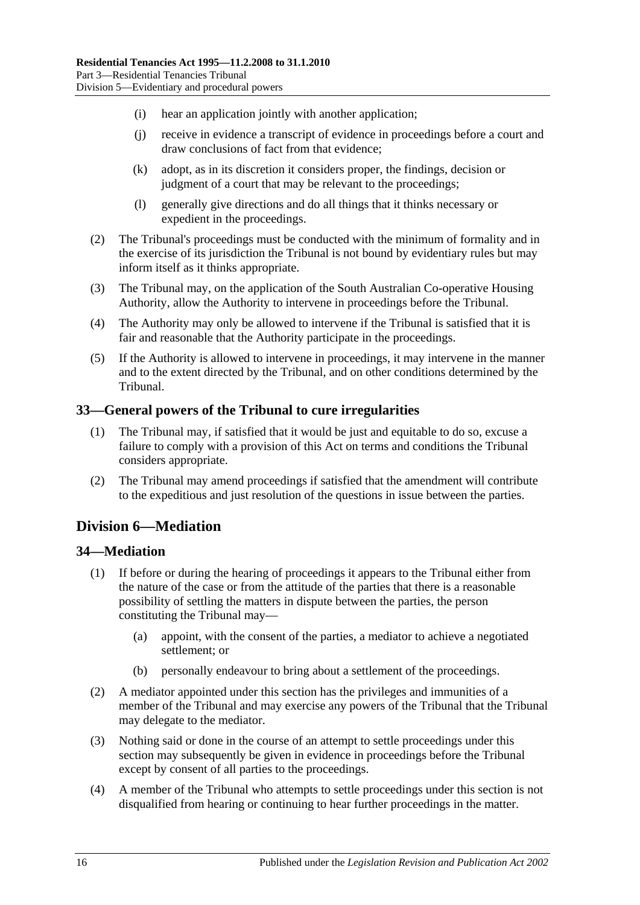- (i) hear an application jointly with another application;
- (j) receive in evidence a transcript of evidence in proceedings before a court and draw conclusions of fact from that evidence;
- (k) adopt, as in its discretion it considers proper, the findings, decision or judgment of a court that may be relevant to the proceedings;
- (l) generally give directions and do all things that it thinks necessary or expedient in the proceedings.
- (2) The Tribunal's proceedings must be conducted with the minimum of formality and in the exercise of its jurisdiction the Tribunal is not bound by evidentiary rules but may inform itself as it thinks appropriate.
- (3) The Tribunal may, on the application of the South Australian Co-operative Housing Authority, allow the Authority to intervene in proceedings before the Tribunal.
- (4) The Authority may only be allowed to intervene if the Tribunal is satisfied that it is fair and reasonable that the Authority participate in the proceedings.
- (5) If the Authority is allowed to intervene in proceedings, it may intervene in the manner and to the extent directed by the Tribunal, and on other conditions determined by the Tribunal.

#### <span id="page-15-0"></span>**33—General powers of the Tribunal to cure irregularities**

- (1) The Tribunal may, if satisfied that it would be just and equitable to do so, excuse a failure to comply with a provision of this Act on terms and conditions the Tribunal considers appropriate.
- (2) The Tribunal may amend proceedings if satisfied that the amendment will contribute to the expeditious and just resolution of the questions in issue between the parties.

## <span id="page-15-1"></span>**Division 6—Mediation**

## <span id="page-15-2"></span>**34—Mediation**

- (1) If before or during the hearing of proceedings it appears to the Tribunal either from the nature of the case or from the attitude of the parties that there is a reasonable possibility of settling the matters in dispute between the parties, the person constituting the Tribunal may—
	- (a) appoint, with the consent of the parties, a mediator to achieve a negotiated settlement; or
	- (b) personally endeavour to bring about a settlement of the proceedings.
- (2) A mediator appointed under this section has the privileges and immunities of a member of the Tribunal and may exercise any powers of the Tribunal that the Tribunal may delegate to the mediator.
- (3) Nothing said or done in the course of an attempt to settle proceedings under this section may subsequently be given in evidence in proceedings before the Tribunal except by consent of all parties to the proceedings.
- (4) A member of the Tribunal who attempts to settle proceedings under this section is not disqualified from hearing or continuing to hear further proceedings in the matter.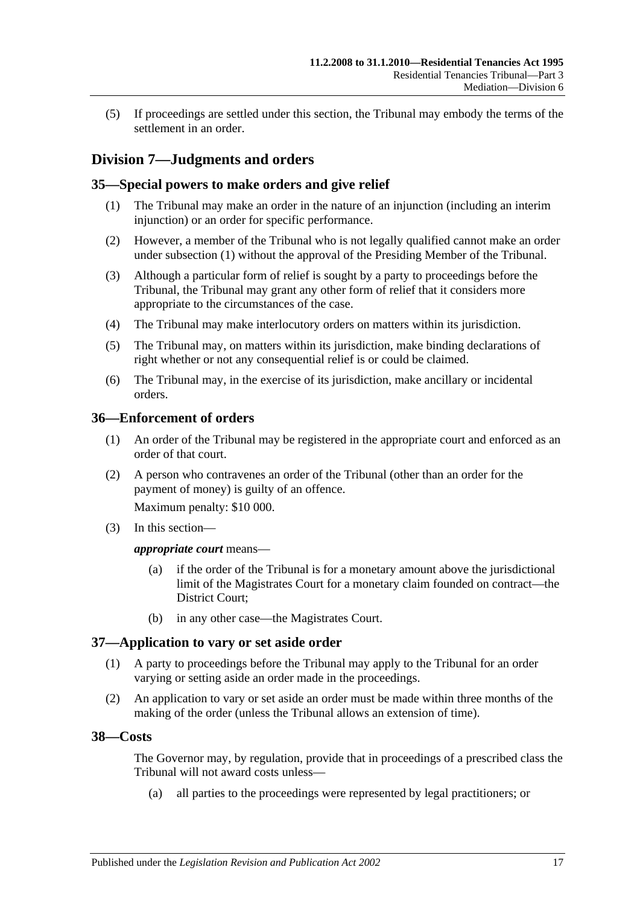(5) If proceedings are settled under this section, the Tribunal may embody the terms of the settlement in an order.

## <span id="page-16-0"></span>**Division 7—Judgments and orders**

#### <span id="page-16-5"></span><span id="page-16-1"></span>**35—Special powers to make orders and give relief**

- (1) The Tribunal may make an order in the nature of an injunction (including an interim injunction) or an order for specific performance.
- (2) However, a member of the Tribunal who is not legally qualified cannot make an order under [subsection](#page-16-5) (1) without the approval of the Presiding Member of the Tribunal.
- (3) Although a particular form of relief is sought by a party to proceedings before the Tribunal, the Tribunal may grant any other form of relief that it considers more appropriate to the circumstances of the case.
- (4) The Tribunal may make interlocutory orders on matters within its jurisdiction.
- (5) The Tribunal may, on matters within its jurisdiction, make binding declarations of right whether or not any consequential relief is or could be claimed.
- (6) The Tribunal may, in the exercise of its jurisdiction, make ancillary or incidental orders.

#### <span id="page-16-2"></span>**36—Enforcement of orders**

- (1) An order of the Tribunal may be registered in the appropriate court and enforced as an order of that court.
- (2) A person who contravenes an order of the Tribunal (other than an order for the payment of money) is guilty of an offence.

Maximum penalty: \$10 000.

(3) In this section—

#### *appropriate court* means—

- (a) if the order of the Tribunal is for a monetary amount above the jurisdictional limit of the Magistrates Court for a monetary claim founded on contract—the District Court;
- (b) in any other case—the Magistrates Court.

#### <span id="page-16-3"></span>**37—Application to vary or set aside order**

- (1) A party to proceedings before the Tribunal may apply to the Tribunal for an order varying or setting aside an order made in the proceedings.
- (2) An application to vary or set aside an order must be made within three months of the making of the order (unless the Tribunal allows an extension of time).

#### <span id="page-16-4"></span>**38—Costs**

The Governor may, by regulation, provide that in proceedings of a prescribed class the Tribunal will not award costs unless—

(a) all parties to the proceedings were represented by legal practitioners; or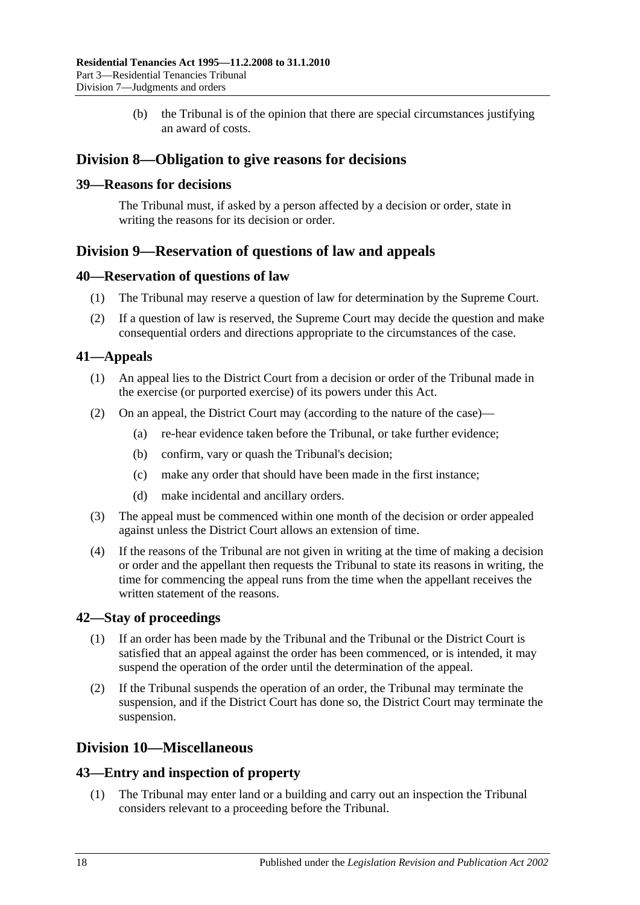(b) the Tribunal is of the opinion that there are special circumstances justifying an award of costs.

## <span id="page-17-0"></span>**Division 8—Obligation to give reasons for decisions**

#### <span id="page-17-1"></span>**39—Reasons for decisions**

The Tribunal must, if asked by a person affected by a decision or order, state in writing the reasons for its decision or order.

## <span id="page-17-2"></span>**Division 9—Reservation of questions of law and appeals**

#### <span id="page-17-3"></span>**40—Reservation of questions of law**

- (1) The Tribunal may reserve a question of law for determination by the Supreme Court.
- (2) If a question of law is reserved, the Supreme Court may decide the question and make consequential orders and directions appropriate to the circumstances of the case.

## <span id="page-17-4"></span>**41—Appeals**

- (1) An appeal lies to the District Court from a decision or order of the Tribunal made in the exercise (or purported exercise) of its powers under this Act.
- (2) On an appeal, the District Court may (according to the nature of the case)—
	- (a) re-hear evidence taken before the Tribunal, or take further evidence;
	- (b) confirm, vary or quash the Tribunal's decision;
	- (c) make any order that should have been made in the first instance;
	- (d) make incidental and ancillary orders.
- (3) The appeal must be commenced within one month of the decision or order appealed against unless the District Court allows an extension of time.
- (4) If the reasons of the Tribunal are not given in writing at the time of making a decision or order and the appellant then requests the Tribunal to state its reasons in writing, the time for commencing the appeal runs from the time when the appellant receives the written statement of the reasons.

## <span id="page-17-5"></span>**42—Stay of proceedings**

- (1) If an order has been made by the Tribunal and the Tribunal or the District Court is satisfied that an appeal against the order has been commenced, or is intended, it may suspend the operation of the order until the determination of the appeal.
- (2) If the Tribunal suspends the operation of an order, the Tribunal may terminate the suspension, and if the District Court has done so, the District Court may terminate the suspension.

## <span id="page-17-6"></span>**Division 10—Miscellaneous**

#### <span id="page-17-7"></span>**43—Entry and inspection of property**

(1) The Tribunal may enter land or a building and carry out an inspection the Tribunal considers relevant to a proceeding before the Tribunal.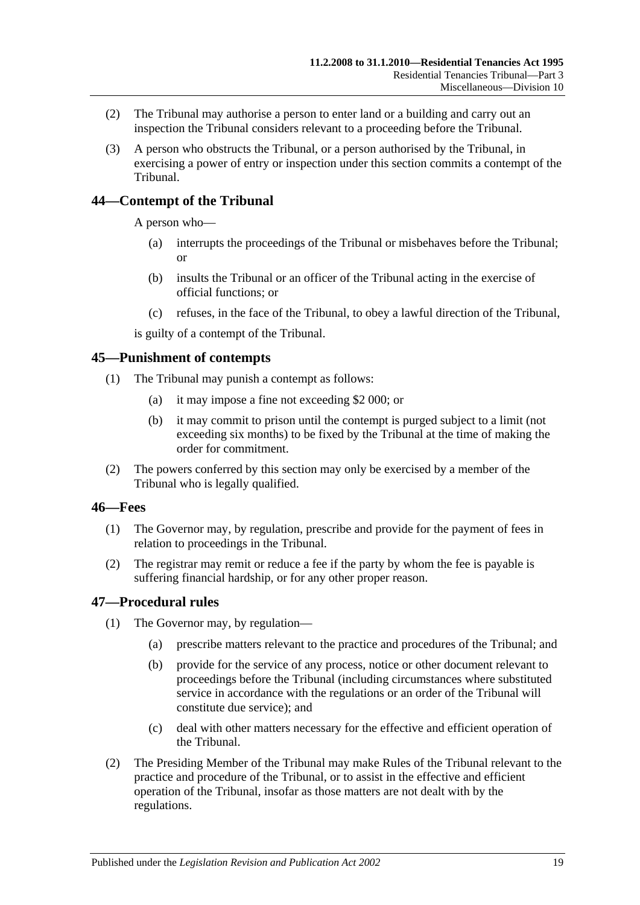- (2) The Tribunal may authorise a person to enter land or a building and carry out an inspection the Tribunal considers relevant to a proceeding before the Tribunal.
- (3) A person who obstructs the Tribunal, or a person authorised by the Tribunal, in exercising a power of entry or inspection under this section commits a contempt of the Tribunal.

## <span id="page-18-0"></span>**44—Contempt of the Tribunal**

A person who—

- (a) interrupts the proceedings of the Tribunal or misbehaves before the Tribunal; or
- (b) insults the Tribunal or an officer of the Tribunal acting in the exercise of official functions; or
- (c) refuses, in the face of the Tribunal, to obey a lawful direction of the Tribunal,

is guilty of a contempt of the Tribunal.

#### <span id="page-18-1"></span>**45—Punishment of contempts**

- (1) The Tribunal may punish a contempt as follows:
	- (a) it may impose a fine not exceeding \$2 000; or
	- (b) it may commit to prison until the contempt is purged subject to a limit (not exceeding six months) to be fixed by the Tribunal at the time of making the order for commitment.
- (2) The powers conferred by this section may only be exercised by a member of the Tribunal who is legally qualified.

#### <span id="page-18-2"></span>**46—Fees**

- (1) The Governor may, by regulation, prescribe and provide for the payment of fees in relation to proceedings in the Tribunal.
- (2) The registrar may remit or reduce a fee if the party by whom the fee is payable is suffering financial hardship, or for any other proper reason.

#### <span id="page-18-3"></span>**47—Procedural rules**

- (1) The Governor may, by regulation—
	- (a) prescribe matters relevant to the practice and procedures of the Tribunal; and
	- (b) provide for the service of any process, notice or other document relevant to proceedings before the Tribunal (including circumstances where substituted service in accordance with the regulations or an order of the Tribunal will constitute due service); and
	- (c) deal with other matters necessary for the effective and efficient operation of the Tribunal.
- (2) The Presiding Member of the Tribunal may make Rules of the Tribunal relevant to the practice and procedure of the Tribunal, or to assist in the effective and efficient operation of the Tribunal, insofar as those matters are not dealt with by the regulations.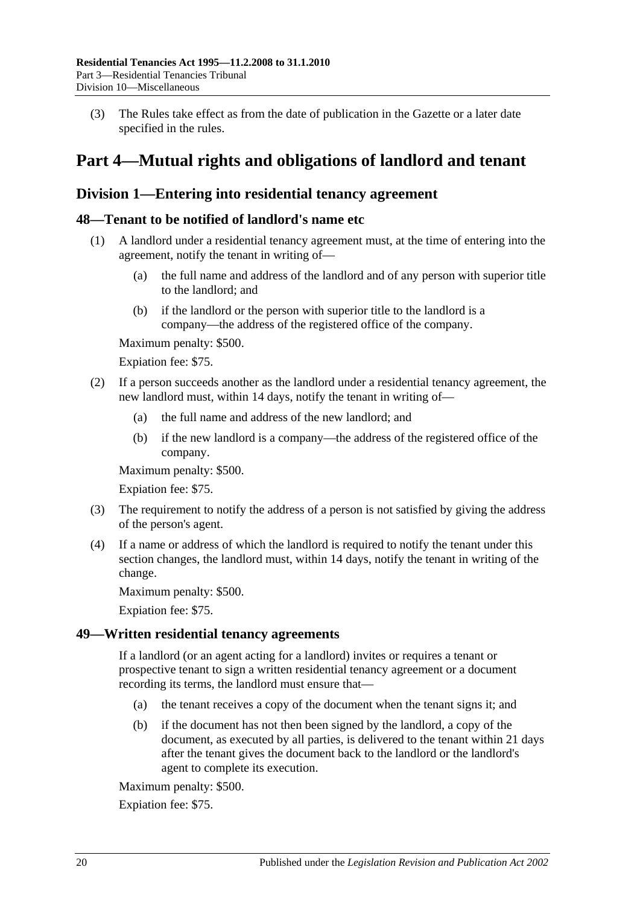(3) The Rules take effect as from the date of publication in the Gazette or a later date specified in the rules.

## <span id="page-19-0"></span>**Part 4—Mutual rights and obligations of landlord and tenant**

## <span id="page-19-1"></span>**Division 1—Entering into residential tenancy agreement**

### <span id="page-19-2"></span>**48—Tenant to be notified of landlord's name etc**

- (1) A landlord under a residential tenancy agreement must, at the time of entering into the agreement, notify the tenant in writing of—
	- (a) the full name and address of the landlord and of any person with superior title to the landlord; and
	- (b) if the landlord or the person with superior title to the landlord is a company—the address of the registered office of the company.

Maximum penalty: \$500.

Expiation fee: \$75.

- (2) If a person succeeds another as the landlord under a residential tenancy agreement, the new landlord must, within 14 days, notify the tenant in writing of—
	- (a) the full name and address of the new landlord; and
	- (b) if the new landlord is a company—the address of the registered office of the company.

Maximum penalty: \$500.

Expiation fee: \$75.

- (3) The requirement to notify the address of a person is not satisfied by giving the address of the person's agent.
- (4) If a name or address of which the landlord is required to notify the tenant under this section changes, the landlord must, within 14 days, notify the tenant in writing of the change.

Maximum penalty: \$500.

Expiation fee: \$75.

#### <span id="page-19-3"></span>**49—Written residential tenancy agreements**

If a landlord (or an agent acting for a landlord) invites or requires a tenant or prospective tenant to sign a written residential tenancy agreement or a document recording its terms, the landlord must ensure that—

- (a) the tenant receives a copy of the document when the tenant signs it; and
- (b) if the document has not then been signed by the landlord, a copy of the document, as executed by all parties, is delivered to the tenant within 21 days after the tenant gives the document back to the landlord or the landlord's agent to complete its execution.

Maximum penalty: \$500.

Expiation fee: \$75.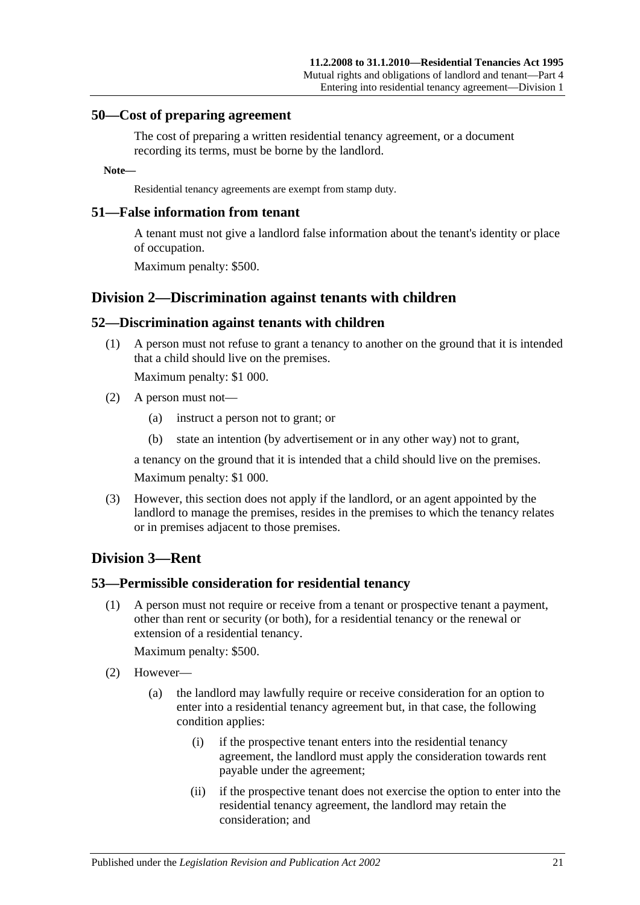#### <span id="page-20-0"></span>**50—Cost of preparing agreement**

The cost of preparing a written residential tenancy agreement, or a document recording its terms, must be borne by the landlord.

#### **Note—**

Residential tenancy agreements are exempt from stamp duty.

#### <span id="page-20-1"></span>**51—False information from tenant**

A tenant must not give a landlord false information about the tenant's identity or place of occupation.

Maximum penalty: \$500.

## <span id="page-20-2"></span>**Division 2—Discrimination against tenants with children**

#### <span id="page-20-3"></span>**52—Discrimination against tenants with children**

(1) A person must not refuse to grant a tenancy to another on the ground that it is intended that a child should live on the premises.

Maximum penalty: \$1 000.

- (2) A person must not—
	- (a) instruct a person not to grant; or
	- (b) state an intention (by advertisement or in any other way) not to grant,

a tenancy on the ground that it is intended that a child should live on the premises.

Maximum penalty: \$1 000.

(3) However, this section does not apply if the landlord, or an agent appointed by the landlord to manage the premises, resides in the premises to which the tenancy relates or in premises adjacent to those premises.

## <span id="page-20-4"></span>**Division 3—Rent**

#### <span id="page-20-5"></span>**53—Permissible consideration for residential tenancy**

(1) A person must not require or receive from a tenant or prospective tenant a payment, other than rent or security (or both), for a residential tenancy or the renewal or extension of a residential tenancy.

Maximum penalty: \$500.

- (2) However—
	- (a) the landlord may lawfully require or receive consideration for an option to enter into a residential tenancy agreement but, in that case, the following condition applies:
		- (i) if the prospective tenant enters into the residential tenancy agreement, the landlord must apply the consideration towards rent payable under the agreement;
		- (ii) if the prospective tenant does not exercise the option to enter into the residential tenancy agreement, the landlord may retain the consideration; and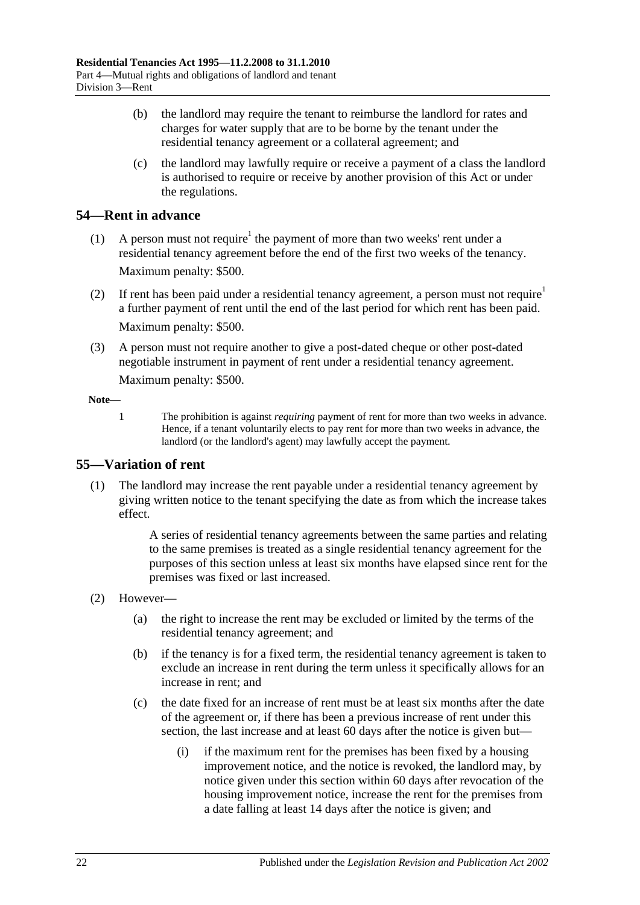- (b) the landlord may require the tenant to reimburse the landlord for rates and charges for water supply that are to be borne by the tenant under the residential tenancy agreement or a collateral agreement; and
- (c) the landlord may lawfully require or receive a payment of a class the landlord is authorised to require or receive by another provision of this Act or under the regulations.

## <span id="page-21-0"></span>**54—Rent in advance**

- (1) A person must not require<sup>1</sup> the payment of more than two weeks' rent under a residential tenancy agreement before the end of the first two weeks of the tenancy. Maximum penalty: \$500.
- (2) If rent has been paid under a residential tenancy agreement, a person must not require<sup>1</sup> a further payment of rent until the end of the last period for which rent has been paid. Maximum penalty: \$500.
- (3) A person must not require another to give a post-dated cheque or other post-dated negotiable instrument in payment of rent under a residential tenancy agreement. Maximum penalty: \$500.

#### **Note—**

1 The prohibition is against *requiring* payment of rent for more than two weeks in advance. Hence, if a tenant voluntarily elects to pay rent for more than two weeks in advance, the landlord (or the landlord's agent) may lawfully accept the payment.

## <span id="page-21-1"></span>**55—Variation of rent**

(1) The landlord may increase the rent payable under a residential tenancy agreement by giving written notice to the tenant specifying the date as from which the increase takes effect.

> A series of residential tenancy agreements between the same parties and relating to the same premises is treated as a single residential tenancy agreement for the purposes of this section unless at least six months have elapsed since rent for the premises was fixed or last increased.

- (2) However—
	- (a) the right to increase the rent may be excluded or limited by the terms of the residential tenancy agreement; and
	- (b) if the tenancy is for a fixed term, the residential tenancy agreement is taken to exclude an increase in rent during the term unless it specifically allows for an increase in rent; and
	- (c) the date fixed for an increase of rent must be at least six months after the date of the agreement or, if there has been a previous increase of rent under this section, the last increase and at least 60 days after the notice is given but—
		- (i) if the maximum rent for the premises has been fixed by a housing improvement notice, and the notice is revoked, the landlord may, by notice given under this section within 60 days after revocation of the housing improvement notice, increase the rent for the premises from a date falling at least 14 days after the notice is given; and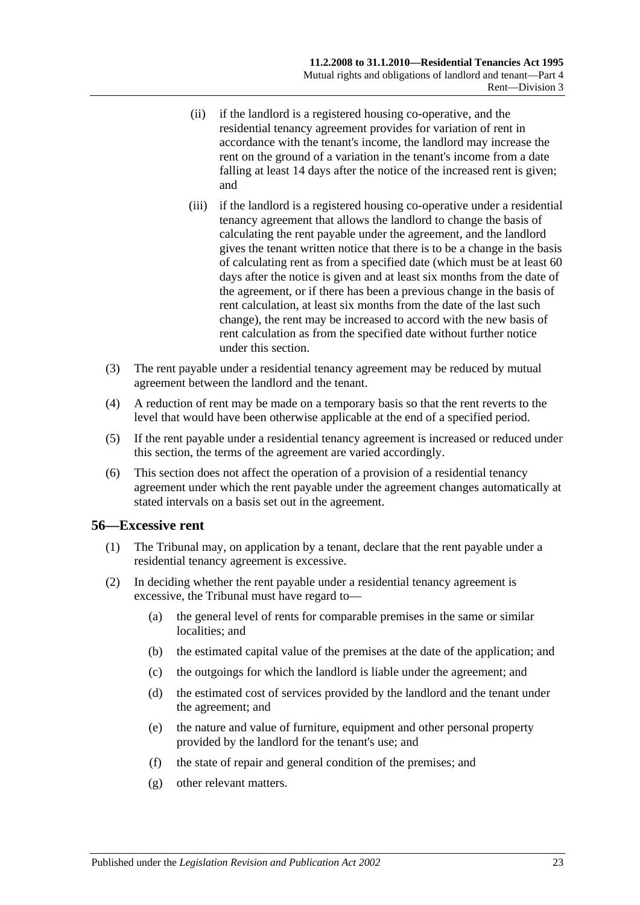- (ii) if the landlord is a registered housing co-operative, and the residential tenancy agreement provides for variation of rent in accordance with the tenant's income, the landlord may increase the rent on the ground of a variation in the tenant's income from a date falling at least 14 days after the notice of the increased rent is given; and
- (iii) if the landlord is a registered housing co-operative under a residential tenancy agreement that allows the landlord to change the basis of calculating the rent payable under the agreement, and the landlord gives the tenant written notice that there is to be a change in the basis of calculating rent as from a specified date (which must be at least 60 days after the notice is given and at least six months from the date of the agreement, or if there has been a previous change in the basis of rent calculation, at least six months from the date of the last such change), the rent may be increased to accord with the new basis of rent calculation as from the specified date without further notice under this section.
- (3) The rent payable under a residential tenancy agreement may be reduced by mutual agreement between the landlord and the tenant.
- (4) A reduction of rent may be made on a temporary basis so that the rent reverts to the level that would have been otherwise applicable at the end of a specified period.
- (5) If the rent payable under a residential tenancy agreement is increased or reduced under this section, the terms of the agreement are varied accordingly.
- (6) This section does not affect the operation of a provision of a residential tenancy agreement under which the rent payable under the agreement changes automatically at stated intervals on a basis set out in the agreement.

#### <span id="page-22-0"></span>**56—Excessive rent**

- (1) The Tribunal may, on application by a tenant, declare that the rent payable under a residential tenancy agreement is excessive.
- (2) In deciding whether the rent payable under a residential tenancy agreement is excessive, the Tribunal must have regard to—
	- (a) the general level of rents for comparable premises in the same or similar localities; and
	- (b) the estimated capital value of the premises at the date of the application; and
	- (c) the outgoings for which the landlord is liable under the agreement; and
	- (d) the estimated cost of services provided by the landlord and the tenant under the agreement; and
	- (e) the nature and value of furniture, equipment and other personal property provided by the landlord for the tenant's use; and
	- (f) the state of repair and general condition of the premises; and
	- (g) other relevant matters.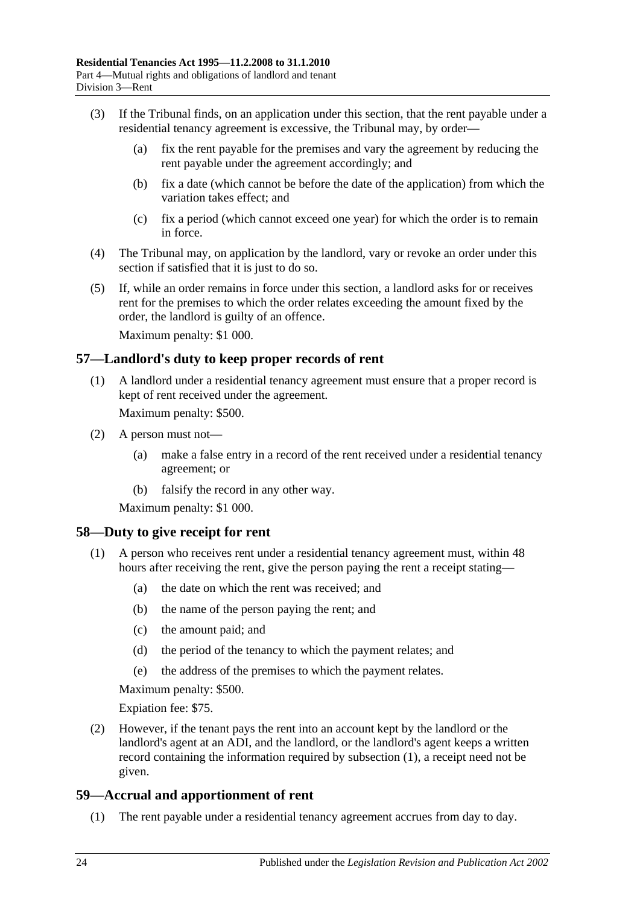- (3) If the Tribunal finds, on an application under this section, that the rent payable under a residential tenancy agreement is excessive, the Tribunal may, by order—
	- (a) fix the rent payable for the premises and vary the agreement by reducing the rent payable under the agreement accordingly; and
	- (b) fix a date (which cannot be before the date of the application) from which the variation takes effect; and
	- (c) fix a period (which cannot exceed one year) for which the order is to remain in force.
- (4) The Tribunal may, on application by the landlord, vary or revoke an order under this section if satisfied that it is just to do so.
- (5) If, while an order remains in force under this section, a landlord asks for or receives rent for the premises to which the order relates exceeding the amount fixed by the order, the landlord is guilty of an offence.

Maximum penalty: \$1 000.

#### <span id="page-23-0"></span>**57—Landlord's duty to keep proper records of rent**

(1) A landlord under a residential tenancy agreement must ensure that a proper record is kept of rent received under the agreement.

Maximum penalty: \$500.

- (2) A person must not—
	- (a) make a false entry in a record of the rent received under a residential tenancy agreement; or
	- (b) falsify the record in any other way.

Maximum penalty: \$1 000.

#### <span id="page-23-3"></span><span id="page-23-1"></span>**58—Duty to give receipt for rent**

- (1) A person who receives rent under a residential tenancy agreement must, within 48 hours after receiving the rent, give the person paying the rent a receipt stating—
	- (a) the date on which the rent was received; and
	- (b) the name of the person paying the rent; and
	- (c) the amount paid; and
	- (d) the period of the tenancy to which the payment relates; and
	- (e) the address of the premises to which the payment relates.

Maximum penalty: \$500.

Expiation fee: \$75.

(2) However, if the tenant pays the rent into an account kept by the landlord or the landlord's agent at an ADI, and the landlord, or the landlord's agent keeps a written record containing the information required by [subsection](#page-23-3) (1), a receipt need not be given.

## <span id="page-23-2"></span>**59—Accrual and apportionment of rent**

(1) The rent payable under a residential tenancy agreement accrues from day to day.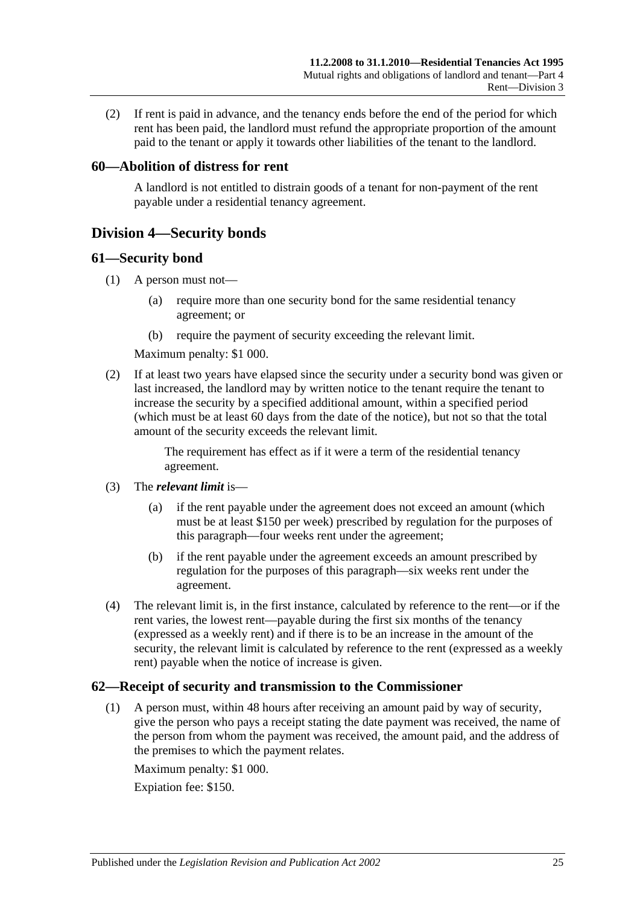(2) If rent is paid in advance, and the tenancy ends before the end of the period for which rent has been paid, the landlord must refund the appropriate proportion of the amount paid to the tenant or apply it towards other liabilities of the tenant to the landlord.

## <span id="page-24-0"></span>**60—Abolition of distress for rent**

A landlord is not entitled to distrain goods of a tenant for non-payment of the rent payable under a residential tenancy agreement.

## <span id="page-24-1"></span>**Division 4—Security bonds**

#### <span id="page-24-2"></span>**61—Security bond**

- (1) A person must not—
	- (a) require more than one security bond for the same residential tenancy agreement; or
	- (b) require the payment of security exceeding the relevant limit.

Maximum penalty: \$1 000.

(2) If at least two years have elapsed since the security under a security bond was given or last increased, the landlord may by written notice to the tenant require the tenant to increase the security by a specified additional amount, within a specified period (which must be at least 60 days from the date of the notice), but not so that the total amount of the security exceeds the relevant limit.

> The requirement has effect as if it were a term of the residential tenancy agreement.

- (3) The *relevant limit* is—
	- (a) if the rent payable under the agreement does not exceed an amount (which must be at least \$150 per week) prescribed by regulation for the purposes of this paragraph—four weeks rent under the agreement;
	- (b) if the rent payable under the agreement exceeds an amount prescribed by regulation for the purposes of this paragraph—six weeks rent under the agreement.
- (4) The relevant limit is, in the first instance, calculated by reference to the rent—or if the rent varies, the lowest rent—payable during the first six months of the tenancy (expressed as a weekly rent) and if there is to be an increase in the amount of the security, the relevant limit is calculated by reference to the rent (expressed as a weekly rent) payable when the notice of increase is given.

## <span id="page-24-3"></span>**62—Receipt of security and transmission to the Commissioner**

(1) A person must, within 48 hours after receiving an amount paid by way of security, give the person who pays a receipt stating the date payment was received, the name of the person from whom the payment was received, the amount paid, and the address of the premises to which the payment relates.

Maximum penalty: \$1 000.

Expiation fee: \$150.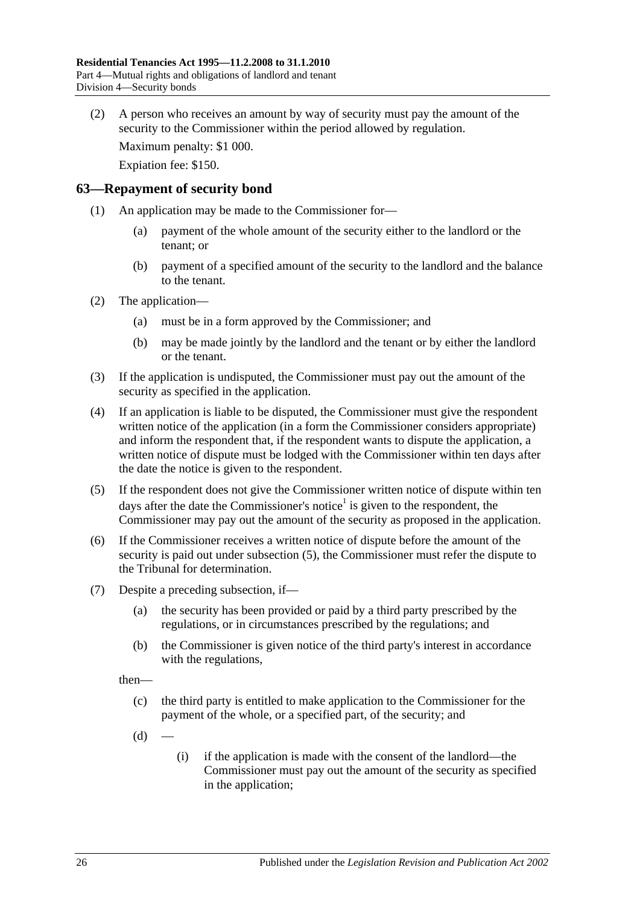(2) A person who receives an amount by way of security must pay the amount of the security to the Commissioner within the period allowed by regulation.

Maximum penalty: \$1 000.

Expiation fee: \$150.

#### <span id="page-25-0"></span>**63—Repayment of security bond**

- (1) An application may be made to the Commissioner for—
	- (a) payment of the whole amount of the security either to the landlord or the tenant; or
	- (b) payment of a specified amount of the security to the landlord and the balance to the tenant.
- (2) The application—
	- (a) must be in a form approved by the Commissioner; and
	- (b) may be made jointly by the landlord and the tenant or by either the landlord or the tenant.
- (3) If the application is undisputed, the Commissioner must pay out the amount of the security as specified in the application.
- <span id="page-25-3"></span>(4) If an application is liable to be disputed, the Commissioner must give the respondent written notice of the application (in a form the Commissioner considers appropriate) and inform the respondent that, if the respondent wants to dispute the application, a written notice of dispute must be lodged with the Commissioner within ten days after the date the notice is given to the respondent.
- <span id="page-25-1"></span>(5) If the respondent does not give the Commissioner written notice of dispute within ten days after the date the Commissioner's notice<sup>1</sup> is given to the respondent, the Commissioner may pay out the amount of the security as proposed in the application.
- (6) If the Commissioner receives a written notice of dispute before the amount of the security is paid out under [subsection](#page-25-1) (5), the Commissioner must refer the dispute to the Tribunal for determination.
- <span id="page-25-2"></span>(7) Despite a preceding subsection, if—
	- (a) the security has been provided or paid by a third party prescribed by the regulations, or in circumstances prescribed by the regulations; and
	- (b) the Commissioner is given notice of the third party's interest in accordance with the regulations,

then—

- (c) the third party is entitled to make application to the Commissioner for the payment of the whole, or a specified part, of the security; and
- $(d)$
- (i) if the application is made with the consent of the landlord—the Commissioner must pay out the amount of the security as specified in the application;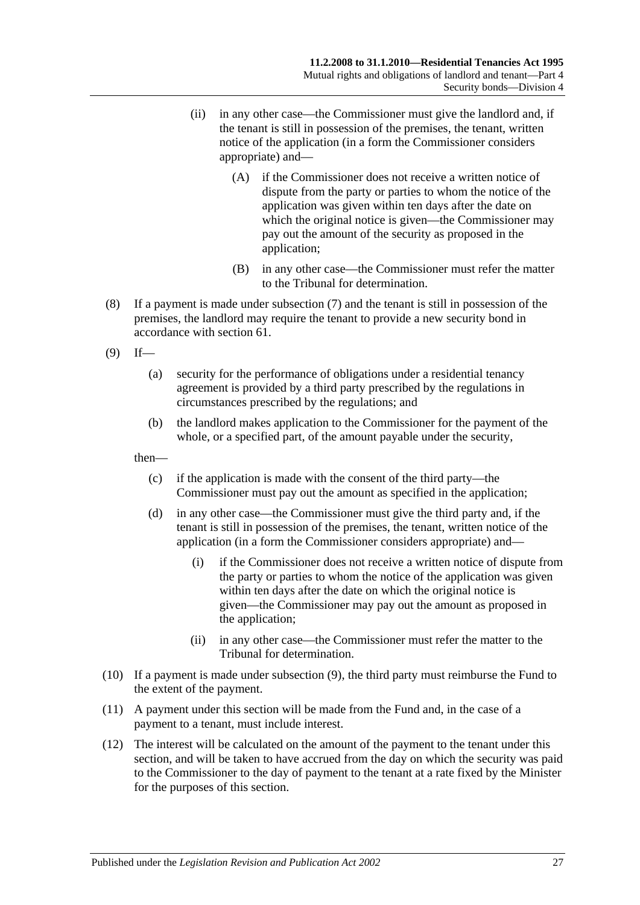- (ii) in any other case—the Commissioner must give the landlord and, if the tenant is still in possession of the premises, the tenant, written notice of the application (in a form the Commissioner considers appropriate) and—
	- (A) if the Commissioner does not receive a written notice of dispute from the party or parties to whom the notice of the application was given within ten days after the date on which the original notice is given—the Commissioner may pay out the amount of the security as proposed in the application;
	- (B) in any other case—the Commissioner must refer the matter to the Tribunal for determination.
- (8) If a payment is made under [subsection](#page-25-2) (7) and the tenant is still in possession of the premises, the landlord may require the tenant to provide a new security bond in accordance with [section](#page-24-2) 61.
- <span id="page-26-0"></span> $(9)$  If—
	- (a) security for the performance of obligations under a residential tenancy agreement is provided by a third party prescribed by the regulations in circumstances prescribed by the regulations; and
	- (b) the landlord makes application to the Commissioner for the payment of the whole, or a specified part, of the amount payable under the security,

then—

- (c) if the application is made with the consent of the third party—the Commissioner must pay out the amount as specified in the application;
- (d) in any other case—the Commissioner must give the third party and, if the tenant is still in possession of the premises, the tenant, written notice of the application (in a form the Commissioner considers appropriate) and—
	- (i) if the Commissioner does not receive a written notice of dispute from the party or parties to whom the notice of the application was given within ten days after the date on which the original notice is given—the Commissioner may pay out the amount as proposed in the application;
	- (ii) in any other case—the Commissioner must refer the matter to the Tribunal for determination.
- (10) If a payment is made under [subsection](#page-26-0) (9), the third party must reimburse the Fund to the extent of the payment.
- (11) A payment under this section will be made from the Fund and, in the case of a payment to a tenant, must include interest.
- (12) The interest will be calculated on the amount of the payment to the tenant under this section, and will be taken to have accrued from the day on which the security was paid to the Commissioner to the day of payment to the tenant at a rate fixed by the Minister for the purposes of this section.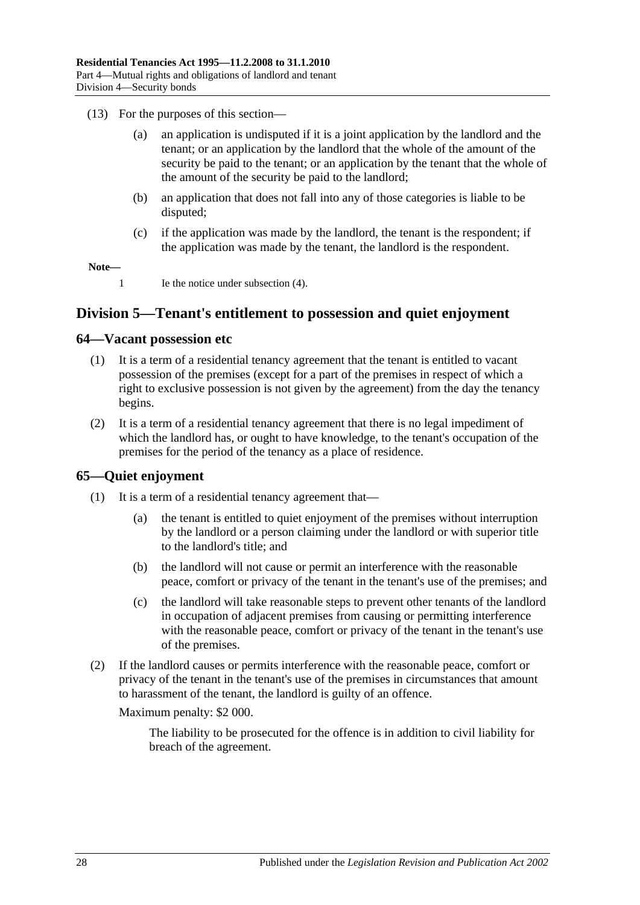- (13) For the purposes of this section—
	- (a) an application is undisputed if it is a joint application by the landlord and the tenant; or an application by the landlord that the whole of the amount of the security be paid to the tenant; or an application by the tenant that the whole of the amount of the security be paid to the landlord;
	- (b) an application that does not fall into any of those categories is liable to be disputed;
	- (c) if the application was made by the landlord, the tenant is the respondent; if the application was made by the tenant, the landlord is the respondent.

**Note—**

1 Ie the notice under [subsection](#page-25-3) (4).

## <span id="page-27-0"></span>**Division 5—Tenant's entitlement to possession and quiet enjoyment**

#### <span id="page-27-1"></span>**64—Vacant possession etc**

- (1) It is a term of a residential tenancy agreement that the tenant is entitled to vacant possession of the premises (except for a part of the premises in respect of which a right to exclusive possession is not given by the agreement) from the day the tenancy begins.
- (2) It is a term of a residential tenancy agreement that there is no legal impediment of which the landlord has, or ought to have knowledge, to the tenant's occupation of the premises for the period of the tenancy as a place of residence.

## <span id="page-27-2"></span>**65—Quiet enjoyment**

- (1) It is a term of a residential tenancy agreement that—
	- (a) the tenant is entitled to quiet enjoyment of the premises without interruption by the landlord or a person claiming under the landlord or with superior title to the landlord's title; and
	- (b) the landlord will not cause or permit an interference with the reasonable peace, comfort or privacy of the tenant in the tenant's use of the premises; and
	- (c) the landlord will take reasonable steps to prevent other tenants of the landlord in occupation of adjacent premises from causing or permitting interference with the reasonable peace, comfort or privacy of the tenant in the tenant's use of the premises.
- (2) If the landlord causes or permits interference with the reasonable peace, comfort or privacy of the tenant in the tenant's use of the premises in circumstances that amount to harassment of the tenant, the landlord is guilty of an offence.

Maximum penalty: \$2 000.

The liability to be prosecuted for the offence is in addition to civil liability for breach of the agreement.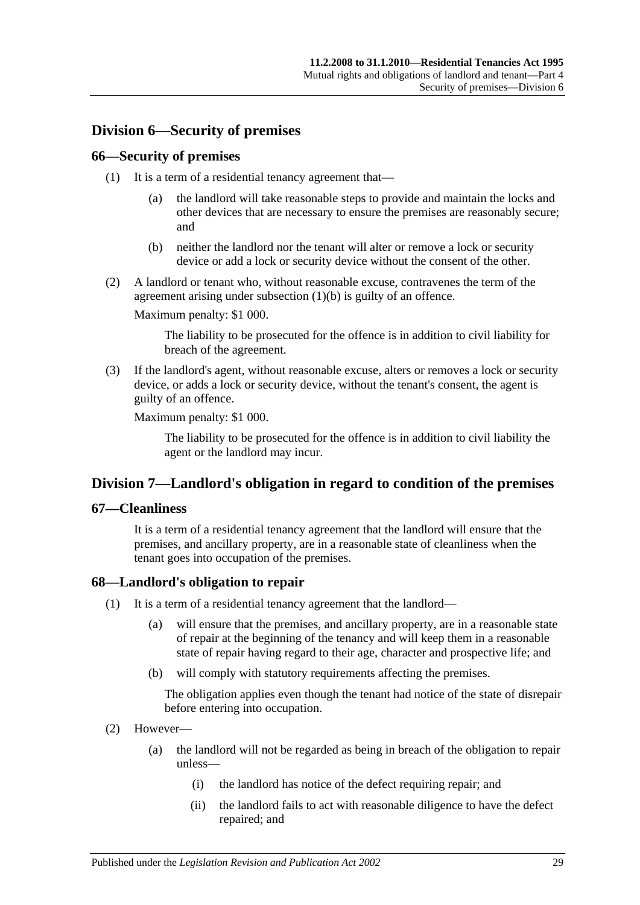## <span id="page-28-0"></span>**Division 6—Security of premises**

### <span id="page-28-1"></span>**66—Security of premises**

- (1) It is a term of a residential tenancy agreement that—
	- (a) the landlord will take reasonable steps to provide and maintain the locks and other devices that are necessary to ensure the premises are reasonably secure; and
	- (b) neither the landlord nor the tenant will alter or remove a lock or security device or add a lock or security device without the consent of the other.
- <span id="page-28-5"></span>(2) A landlord or tenant who, without reasonable excuse, contravenes the term of the agreement arising under [subsection](#page-28-5) (1)(b) is guilty of an offence.

Maximum penalty: \$1 000.

The liability to be prosecuted for the offence is in addition to civil liability for breach of the agreement.

(3) If the landlord's agent, without reasonable excuse, alters or removes a lock or security device, or adds a lock or security device, without the tenant's consent, the agent is guilty of an offence.

Maximum penalty: \$1 000.

The liability to be prosecuted for the offence is in addition to civil liability the agent or the landlord may incur.

## <span id="page-28-2"></span>**Division 7—Landlord's obligation in regard to condition of the premises**

#### <span id="page-28-3"></span>**67—Cleanliness**

It is a term of a residential tenancy agreement that the landlord will ensure that the premises, and ancillary property, are in a reasonable state of cleanliness when the tenant goes into occupation of the premises.

## <span id="page-28-6"></span><span id="page-28-4"></span>**68—Landlord's obligation to repair**

- (1) It is a term of a residential tenancy agreement that the landlord—
	- (a) will ensure that the premises, and ancillary property, are in a reasonable state of repair at the beginning of the tenancy and will keep them in a reasonable state of repair having regard to their age, character and prospective life; and
	- (b) will comply with statutory requirements affecting the premises.

The obligation applies even though the tenant had notice of the state of disrepair before entering into occupation.

- (2) However—
	- (a) the landlord will not be regarded as being in breach of the obligation to repair unless—
		- (i) the landlord has notice of the defect requiring repair; and
		- (ii) the landlord fails to act with reasonable diligence to have the defect repaired; and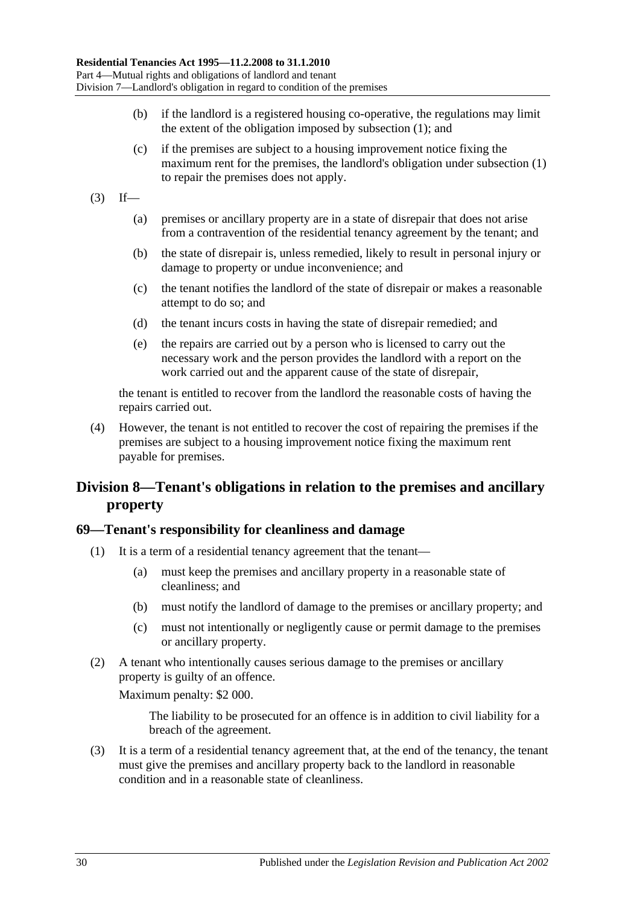- (b) if the landlord is a registered housing co-operative, the regulations may limit the extent of the obligation imposed by [subsection](#page-28-6) (1); and
- (c) if the premises are subject to a housing improvement notice fixing the maximum rent for the premises, the landlord's obligation under [subsection](#page-28-6) (1) to repair the premises does not apply.
- $(3)$  If—
	- (a) premises or ancillary property are in a state of disrepair that does not arise from a contravention of the residential tenancy agreement by the tenant; and
	- (b) the state of disrepair is, unless remedied, likely to result in personal injury or damage to property or undue inconvenience; and
	- (c) the tenant notifies the landlord of the state of disrepair or makes a reasonable attempt to do so; and
	- (d) the tenant incurs costs in having the state of disrepair remedied; and
	- (e) the repairs are carried out by a person who is licensed to carry out the necessary work and the person provides the landlord with a report on the work carried out and the apparent cause of the state of disrepair,

the tenant is entitled to recover from the landlord the reasonable costs of having the repairs carried out.

(4) However, the tenant is not entitled to recover the cost of repairing the premises if the premises are subject to a housing improvement notice fixing the maximum rent payable for premises.

## <span id="page-29-0"></span>**Division 8—Tenant's obligations in relation to the premises and ancillary property**

## <span id="page-29-1"></span>**69—Tenant's responsibility for cleanliness and damage**

- (1) It is a term of a residential tenancy agreement that the tenant—
	- (a) must keep the premises and ancillary property in a reasonable state of cleanliness; and
	- (b) must notify the landlord of damage to the premises or ancillary property; and
	- (c) must not intentionally or negligently cause or permit damage to the premises or ancillary property.
- (2) A tenant who intentionally causes serious damage to the premises or ancillary property is guilty of an offence.

Maximum penalty: \$2 000.

The liability to be prosecuted for an offence is in addition to civil liability for a breach of the agreement.

(3) It is a term of a residential tenancy agreement that, at the end of the tenancy, the tenant must give the premises and ancillary property back to the landlord in reasonable condition and in a reasonable state of cleanliness.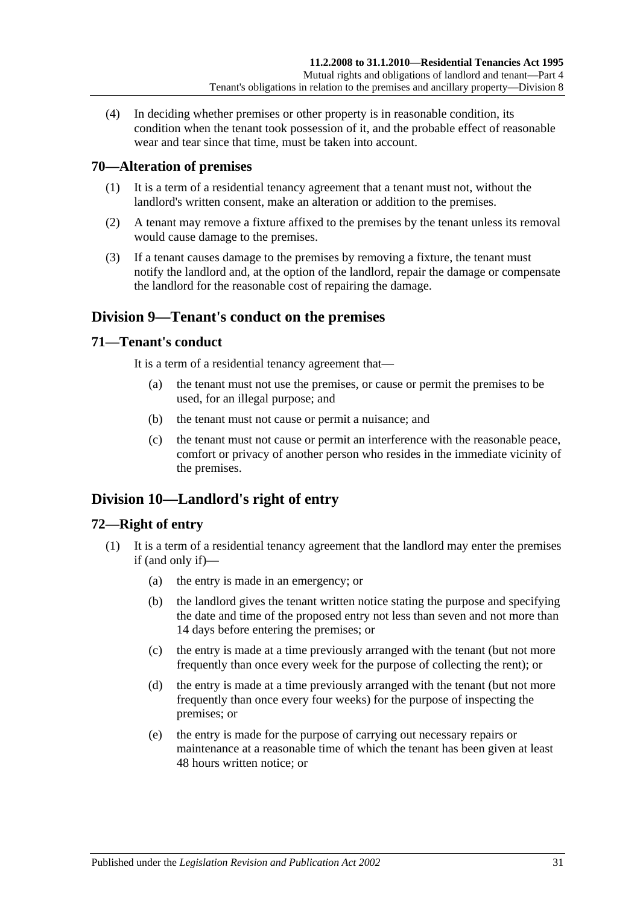(4) In deciding whether premises or other property is in reasonable condition, its condition when the tenant took possession of it, and the probable effect of reasonable wear and tear since that time, must be taken into account.

## <span id="page-30-0"></span>**70—Alteration of premises**

- (1) It is a term of a residential tenancy agreement that a tenant must not, without the landlord's written consent, make an alteration or addition to the premises.
- (2) A tenant may remove a fixture affixed to the premises by the tenant unless its removal would cause damage to the premises.
- (3) If a tenant causes damage to the premises by removing a fixture, the tenant must notify the landlord and, at the option of the landlord, repair the damage or compensate the landlord for the reasonable cost of repairing the damage.

## <span id="page-30-1"></span>**Division 9—Tenant's conduct on the premises**

#### <span id="page-30-2"></span>**71—Tenant's conduct**

It is a term of a residential tenancy agreement that—

- (a) the tenant must not use the premises, or cause or permit the premises to be used, for an illegal purpose; and
- (b) the tenant must not cause or permit a nuisance; and
- (c) the tenant must not cause or permit an interference with the reasonable peace, comfort or privacy of another person who resides in the immediate vicinity of the premises.

## <span id="page-30-3"></span>**Division 10—Landlord's right of entry**

## <span id="page-30-4"></span>**72—Right of entry**

- (1) It is a term of a residential tenancy agreement that the landlord may enter the premises if (and only if)—
	- (a) the entry is made in an emergency; or
	- (b) the landlord gives the tenant written notice stating the purpose and specifying the date and time of the proposed entry not less than seven and not more than 14 days before entering the premises; or
	- (c) the entry is made at a time previously arranged with the tenant (but not more frequently than once every week for the purpose of collecting the rent); or
	- (d) the entry is made at a time previously arranged with the tenant (but not more frequently than once every four weeks) for the purpose of inspecting the premises; or
	- (e) the entry is made for the purpose of carrying out necessary repairs or maintenance at a reasonable time of which the tenant has been given at least 48 hours written notice; or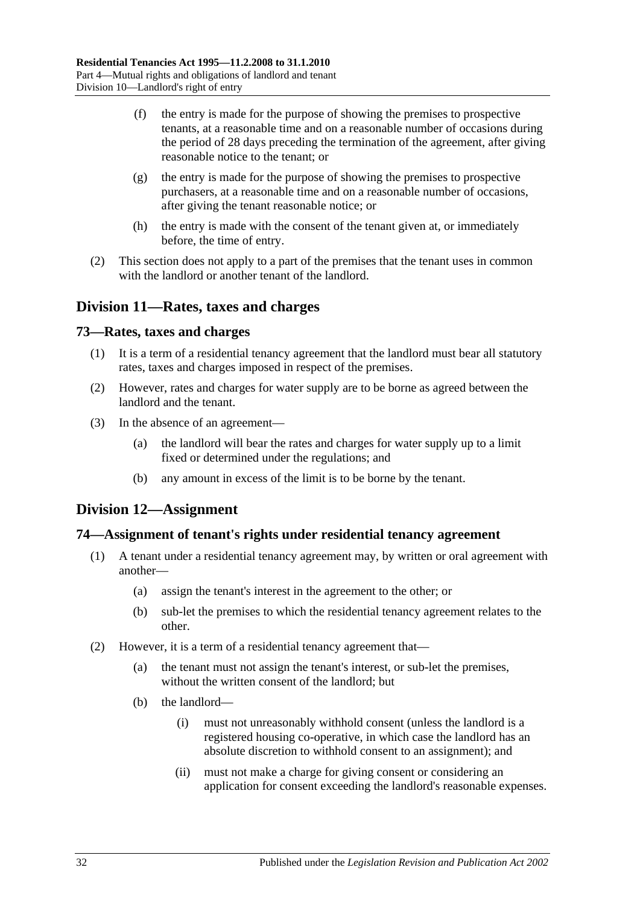- (f) the entry is made for the purpose of showing the premises to prospective tenants, at a reasonable time and on a reasonable number of occasions during the period of 28 days preceding the termination of the agreement, after giving reasonable notice to the tenant; or
- (g) the entry is made for the purpose of showing the premises to prospective purchasers, at a reasonable time and on a reasonable number of occasions, after giving the tenant reasonable notice; or
- (h) the entry is made with the consent of the tenant given at, or immediately before, the time of entry.
- (2) This section does not apply to a part of the premises that the tenant uses in common with the landlord or another tenant of the landlord.

## <span id="page-31-0"></span>**Division 11—Rates, taxes and charges**

#### <span id="page-31-1"></span>**73—Rates, taxes and charges**

- (1) It is a term of a residential tenancy agreement that the landlord must bear all statutory rates, taxes and charges imposed in respect of the premises.
- (2) However, rates and charges for water supply are to be borne as agreed between the landlord and the tenant.
- (3) In the absence of an agreement—
	- (a) the landlord will bear the rates and charges for water supply up to a limit fixed or determined under the regulations; and
	- (b) any amount in excess of the limit is to be borne by the tenant.

## <span id="page-31-2"></span>**Division 12—Assignment**

#### <span id="page-31-3"></span>**74—Assignment of tenant's rights under residential tenancy agreement**

- (1) A tenant under a residential tenancy agreement may, by written or oral agreement with another—
	- (a) assign the tenant's interest in the agreement to the other; or
	- (b) sub-let the premises to which the residential tenancy agreement relates to the other.
- (2) However, it is a term of a residential tenancy agreement that—
	- (a) the tenant must not assign the tenant's interest, or sub-let the premises, without the written consent of the landlord; but
	- (b) the landlord—
		- (i) must not unreasonably withhold consent (unless the landlord is a registered housing co-operative, in which case the landlord has an absolute discretion to withhold consent to an assignment); and
		- (ii) must not make a charge for giving consent or considering an application for consent exceeding the landlord's reasonable expenses.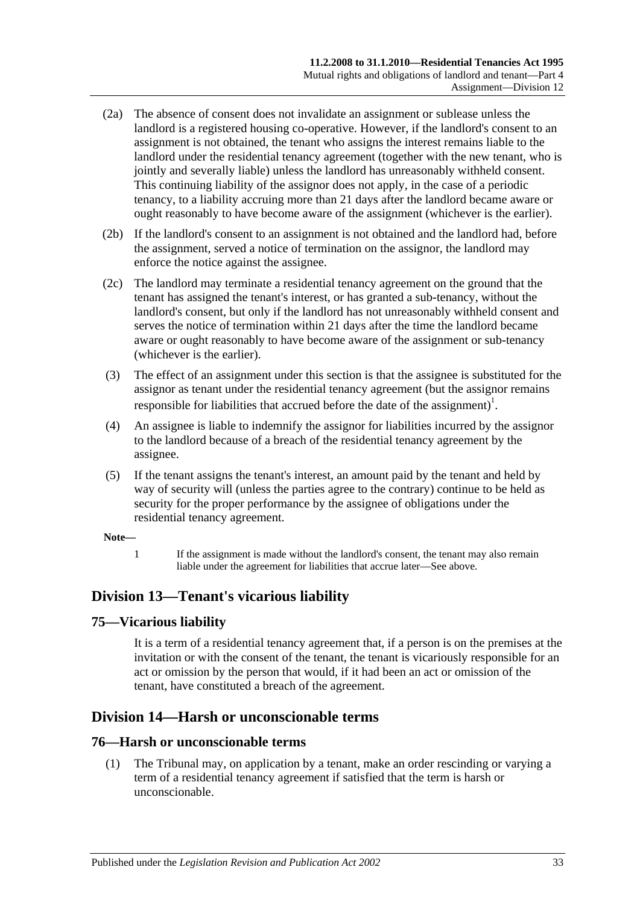- (2a) The absence of consent does not invalidate an assignment or sublease unless the landlord is a registered housing co-operative. However, if the landlord's consent to an assignment is not obtained, the tenant who assigns the interest remains liable to the landlord under the residential tenancy agreement (together with the new tenant, who is jointly and severally liable) unless the landlord has unreasonably withheld consent. This continuing liability of the assignor does not apply, in the case of a periodic tenancy, to a liability accruing more than 21 days after the landlord became aware or ought reasonably to have become aware of the assignment (whichever is the earlier).
- (2b) If the landlord's consent to an assignment is not obtained and the landlord had, before the assignment, served a notice of termination on the assignor, the landlord may enforce the notice against the assignee.
- (2c) The landlord may terminate a residential tenancy agreement on the ground that the tenant has assigned the tenant's interest, or has granted a sub-tenancy, without the landlord's consent, but only if the landlord has not unreasonably withheld consent and serves the notice of termination within 21 days after the time the landlord became aware or ought reasonably to have become aware of the assignment or sub-tenancy (whichever is the earlier).
- (3) The effect of an assignment under this section is that the assignee is substituted for the assignor as tenant under the residential tenancy agreement (but the assignor remains responsible for liabilities that accrued before the date of the assignment)<sup>1</sup>.
- (4) An assignee is liable to indemnify the assignor for liabilities incurred by the assignor to the landlord because of a breach of the residential tenancy agreement by the assignee.
- (5) If the tenant assigns the tenant's interest, an amount paid by the tenant and held by way of security will (unless the parties agree to the contrary) continue to be held as security for the proper performance by the assignee of obligations under the residential tenancy agreement.

#### **Note—**

1 If the assignment is made without the landlord's consent, the tenant may also remain liable under the agreement for liabilities that accrue later—See above.

## <span id="page-32-0"></span>**Division 13—Tenant's vicarious liability**

## <span id="page-32-1"></span>**75—Vicarious liability**

It is a term of a residential tenancy agreement that, if a person is on the premises at the invitation or with the consent of the tenant, the tenant is vicariously responsible for an act or omission by the person that would, if it had been an act or omission of the tenant, have constituted a breach of the agreement.

## <span id="page-32-2"></span>**Division 14—Harsh or unconscionable terms**

#### <span id="page-32-4"></span><span id="page-32-3"></span>**76—Harsh or unconscionable terms**

(1) The Tribunal may, on application by a tenant, make an order rescinding or varying a term of a residential tenancy agreement if satisfied that the term is harsh or unconscionable.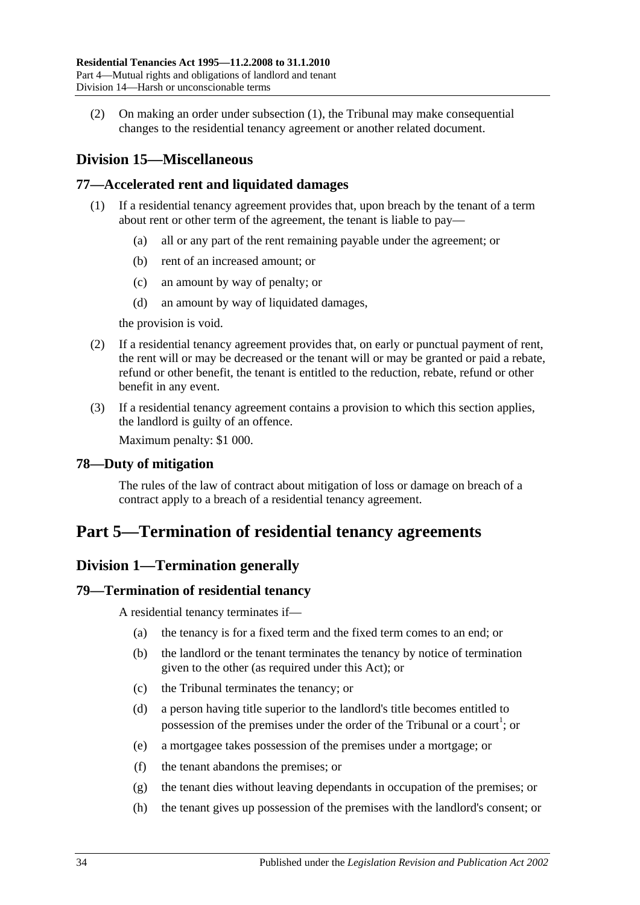(2) On making an order under [subsection](#page-32-4) (1), the Tribunal may make consequential changes to the residential tenancy agreement or another related document.

## <span id="page-33-0"></span>**Division 15—Miscellaneous**

## <span id="page-33-1"></span>**77—Accelerated rent and liquidated damages**

- (1) If a residential tenancy agreement provides that, upon breach by the tenant of a term about rent or other term of the agreement, the tenant is liable to pay—
	- (a) all or any part of the rent remaining payable under the agreement; or
	- (b) rent of an increased amount; or
	- (c) an amount by way of penalty; or
	- (d) an amount by way of liquidated damages,

the provision is void.

- (2) If a residential tenancy agreement provides that, on early or punctual payment of rent, the rent will or may be decreased or the tenant will or may be granted or paid a rebate, refund or other benefit, the tenant is entitled to the reduction, rebate, refund or other benefit in any event.
- (3) If a residential tenancy agreement contains a provision to which this section applies, the landlord is guilty of an offence.

Maximum penalty: \$1 000.

## <span id="page-33-2"></span>**78—Duty of mitigation**

The rules of the law of contract about mitigation of loss or damage on breach of a contract apply to a breach of a residential tenancy agreement.

## <span id="page-33-3"></span>**Part 5—Termination of residential tenancy agreements**

## <span id="page-33-4"></span>**Division 1—Termination generally**

## <span id="page-33-5"></span>**79—Termination of residential tenancy**

A residential tenancy terminates if—

- (a) the tenancy is for a fixed term and the fixed term comes to an end; or
- (b) the landlord or the tenant terminates the tenancy by notice of termination given to the other (as required under this Act); or
- (c) the Tribunal terminates the tenancy; or
- (d) a person having title superior to the landlord's title becomes entitled to possession of the premises under the order of the Tribunal or a court<sup>1</sup>; or
- (e) a mortgagee takes possession of the premises under a mortgage; or
- (f) the tenant abandons the premises; or
- (g) the tenant dies without leaving dependants in occupation of the premises; or
- (h) the tenant gives up possession of the premises with the landlord's consent; or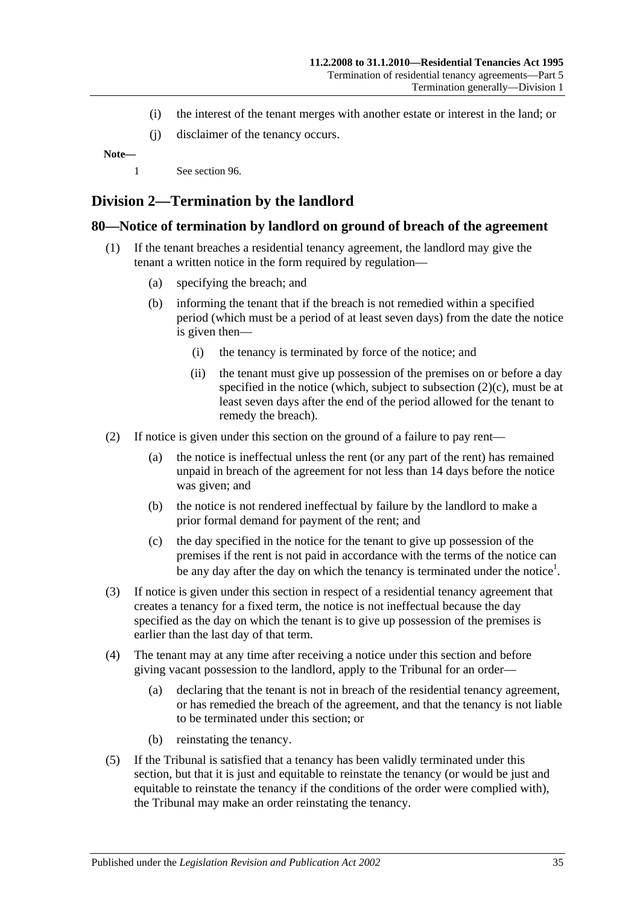- (i) the interest of the tenant merges with another estate or interest in the land; or
- (j) disclaimer of the tenancy occurs.

**Note—**

1 See [section](#page-41-1) 96.

## <span id="page-34-0"></span>**Division 2—Termination by the landlord**

#### <span id="page-34-1"></span>**80—Notice of termination by landlord on ground of breach of the agreement**

- (1) If the tenant breaches a residential tenancy agreement, the landlord may give the tenant a written notice in the form required by regulation—
	- (a) specifying the breach; and
	- (b) informing the tenant that if the breach is not remedied within a specified period (which must be a period of at least seven days) from the date the notice is given then—
		- (i) the tenancy is terminated by force of the notice; and
		- (ii) the tenant must give up possession of the premises on or before a day specified in the notice (which, subject to [subsection](#page-34-2)  $(2)(c)$ , must be at least seven days after the end of the period allowed for the tenant to remedy the breach).
- (2) If notice is given under this section on the ground of a failure to pay rent—
	- (a) the notice is ineffectual unless the rent (or any part of the rent) has remained unpaid in breach of the agreement for not less than 14 days before the notice was given; and
	- (b) the notice is not rendered ineffectual by failure by the landlord to make a prior formal demand for payment of the rent; and
	- (c) the day specified in the notice for the tenant to give up possession of the premises if the rent is not paid in accordance with the terms of the notice can be any day after the day on which the tenancy is terminated under the notice<sup>1</sup>.
- <span id="page-34-2"></span>(3) If notice is given under this section in respect of a residential tenancy agreement that creates a tenancy for a fixed term, the notice is not ineffectual because the day specified as the day on which the tenant is to give up possession of the premises is earlier than the last day of that term.
- (4) The tenant may at any time after receiving a notice under this section and before giving vacant possession to the landlord, apply to the Tribunal for an order—
	- (a) declaring that the tenant is not in breach of the residential tenancy agreement, or has remedied the breach of the agreement, and that the tenancy is not liable to be terminated under this section; or
	- (b) reinstating the tenancy.
- (5) If the Tribunal is satisfied that a tenancy has been validly terminated under this section, but that it is just and equitable to reinstate the tenancy (or would be just and equitable to reinstate the tenancy if the conditions of the order were complied with), the Tribunal may make an order reinstating the tenancy.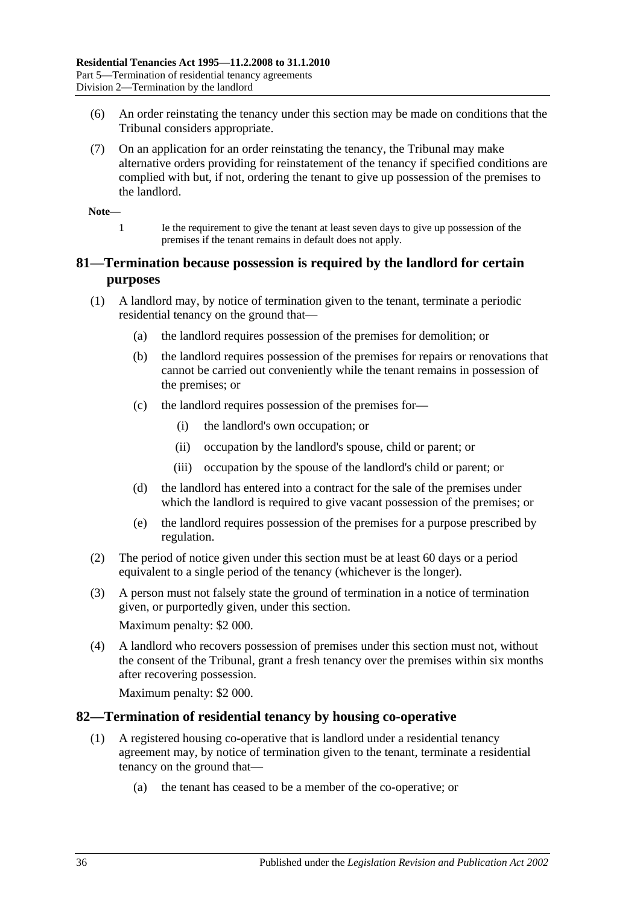- (6) An order reinstating the tenancy under this section may be made on conditions that the Tribunal considers appropriate.
- (7) On an application for an order reinstating the tenancy, the Tribunal may make alternative orders providing for reinstatement of the tenancy if specified conditions are complied with but, if not, ordering the tenant to give up possession of the premises to the landlord.

**Note—**

1 Ie the requirement to give the tenant at least seven days to give up possession of the premises if the tenant remains in default does not apply.

## <span id="page-35-0"></span>**81—Termination because possession is required by the landlord for certain purposes**

- (1) A landlord may, by notice of termination given to the tenant, terminate a periodic residential tenancy on the ground that—
	- (a) the landlord requires possession of the premises for demolition; or
	- (b) the landlord requires possession of the premises for repairs or renovations that cannot be carried out conveniently while the tenant remains in possession of the premises; or
	- (c) the landlord requires possession of the premises for—
		- (i) the landlord's own occupation; or
		- (ii) occupation by the landlord's spouse, child or parent; or
		- (iii) occupation by the spouse of the landlord's child or parent; or
	- (d) the landlord has entered into a contract for the sale of the premises under which the landlord is required to give vacant possession of the premises; or
	- (e) the landlord requires possession of the premises for a purpose prescribed by regulation.
- (2) The period of notice given under this section must be at least 60 days or a period equivalent to a single period of the tenancy (whichever is the longer).
- (3) A person must not falsely state the ground of termination in a notice of termination given, or purportedly given, under this section. Maximum penalty: \$2 000.

(4) A landlord who recovers possession of premises under this section must not, without

the consent of the Tribunal, grant a fresh tenancy over the premises within six months after recovering possession.

Maximum penalty: \$2 000.

#### <span id="page-35-1"></span>**82—Termination of residential tenancy by housing co-operative**

- (1) A registered housing co-operative that is landlord under a residential tenancy agreement may, by notice of termination given to the tenant, terminate a residential tenancy on the ground that—
	- (a) the tenant has ceased to be a member of the co-operative; or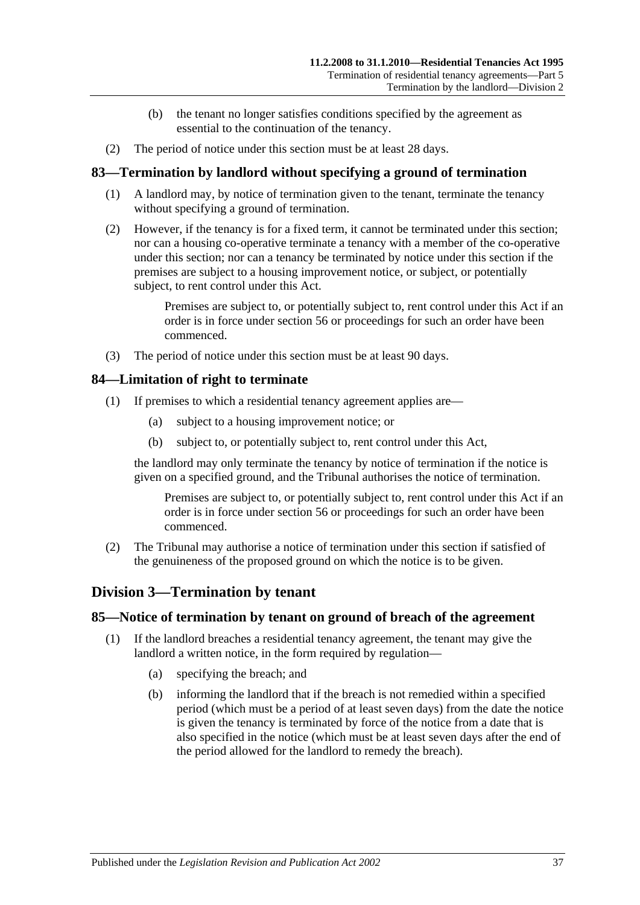- (b) the tenant no longer satisfies conditions specified by the agreement as essential to the continuation of the tenancy.
- (2) The period of notice under this section must be at least 28 days.

## <span id="page-36-0"></span>**83—Termination by landlord without specifying a ground of termination**

- (1) A landlord may, by notice of termination given to the tenant, terminate the tenancy without specifying a ground of termination.
- (2) However, if the tenancy is for a fixed term, it cannot be terminated under this section; nor can a housing co-operative terminate a tenancy with a member of the co-operative under this section; nor can a tenancy be terminated by notice under this section if the premises are subject to a housing improvement notice, or subject, or potentially subject, to rent control under this Act.

Premises are subject to, or potentially subject to, rent control under this Act if an order is in force under section 56 or proceedings for such an order have been commenced.

(3) The period of notice under this section must be at least 90 days.

#### <span id="page-36-1"></span>**84—Limitation of right to terminate**

- (1) If premises to which a residential tenancy agreement applies are—
	- (a) subject to a housing improvement notice; or
	- (b) subject to, or potentially subject to, rent control under this Act,

the landlord may only terminate the tenancy by notice of termination if the notice is given on a specified ground, and the Tribunal authorises the notice of termination.

Premises are subject to, or potentially subject to, rent control under this Act if an order is in force under section 56 or proceedings for such an order have been commenced.

(2) The Tribunal may authorise a notice of termination under this section if satisfied of the genuineness of the proposed ground on which the notice is to be given.

## <span id="page-36-2"></span>**Division 3—Termination by tenant**

#### <span id="page-36-3"></span>**85—Notice of termination by tenant on ground of breach of the agreement**

- (1) If the landlord breaches a residential tenancy agreement, the tenant may give the landlord a written notice, in the form required by regulation—
	- (a) specifying the breach; and
	- (b) informing the landlord that if the breach is not remedied within a specified period (which must be a period of at least seven days) from the date the notice is given the tenancy is terminated by force of the notice from a date that is also specified in the notice (which must be at least seven days after the end of the period allowed for the landlord to remedy the breach).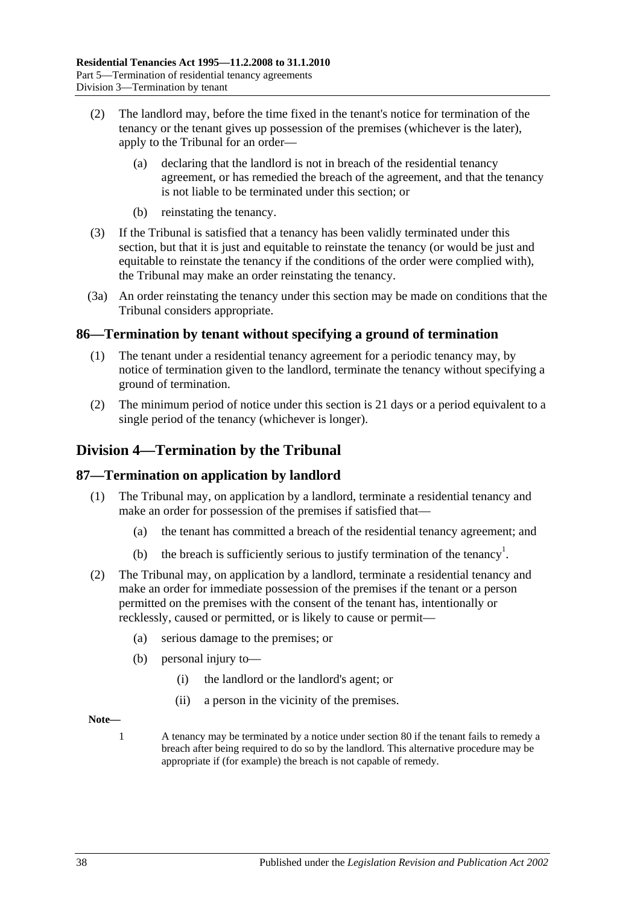- (2) The landlord may, before the time fixed in the tenant's notice for termination of the tenancy or the tenant gives up possession of the premises (whichever is the later), apply to the Tribunal for an order—
	- (a) declaring that the landlord is not in breach of the residential tenancy agreement, or has remedied the breach of the agreement, and that the tenancy is not liable to be terminated under this section; or
	- (b) reinstating the tenancy.
- (3) If the Tribunal is satisfied that a tenancy has been validly terminated under this section, but that it is just and equitable to reinstate the tenancy (or would be just and equitable to reinstate the tenancy if the conditions of the order were complied with), the Tribunal may make an order reinstating the tenancy.
- (3a) An order reinstating the tenancy under this section may be made on conditions that the Tribunal considers appropriate.

## <span id="page-37-0"></span>**86—Termination by tenant without specifying a ground of termination**

- (1) The tenant under a residential tenancy agreement for a periodic tenancy may, by notice of termination given to the landlord, terminate the tenancy without specifying a ground of termination.
- (2) The minimum period of notice under this section is 21 days or a period equivalent to a single period of the tenancy (whichever is longer).

## <span id="page-37-1"></span>**Division 4—Termination by the Tribunal**

## <span id="page-37-2"></span>**87—Termination on application by landlord**

- (1) The Tribunal may, on application by a landlord, terminate a residential tenancy and make an order for possession of the premises if satisfied that—
	- (a) the tenant has committed a breach of the residential tenancy agreement; and
	- (b) the breach is sufficiently serious to justify termination of the tenancy<sup>1</sup>.
- (2) The Tribunal may, on application by a landlord, terminate a residential tenancy and make an order for immediate possession of the premises if the tenant or a person permitted on the premises with the consent of the tenant has, intentionally or recklessly, caused or permitted, or is likely to cause or permit—
	- (a) serious damage to the premises; or
	- (b) personal injury to—
		- (i) the landlord or the landlord's agent; or
		- (ii) a person in the vicinity of the premises.

#### **Note—**

1 A tenancy may be terminated by a notice under [section](#page-34-1) 80 if the tenant fails to remedy a breach after being required to do so by the landlord. This alternative procedure may be appropriate if (for example) the breach is not capable of remedy.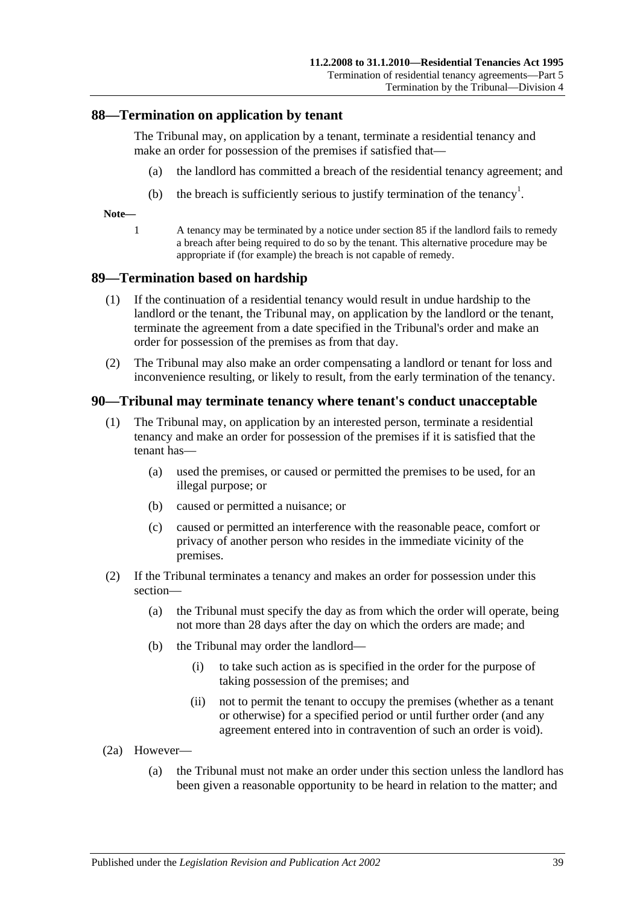#### <span id="page-38-0"></span>**88—Termination on application by tenant**

The Tribunal may, on application by a tenant, terminate a residential tenancy and make an order for possession of the premises if satisfied that—

- (a) the landlord has committed a breach of the residential tenancy agreement; and
- (b) the breach is sufficiently serious to justify termination of the tenancy<sup>1</sup>.

**Note—**

1 A tenancy may be terminated by a notice under [section](#page-36-3) 85 if the landlord fails to remedy a breach after being required to do so by the tenant. This alternative procedure may be appropriate if (for example) the breach is not capable of remedy.

#### <span id="page-38-1"></span>**89—Termination based on hardship**

- (1) If the continuation of a residential tenancy would result in undue hardship to the landlord or the tenant, the Tribunal may, on application by the landlord or the tenant, terminate the agreement from a date specified in the Tribunal's order and make an order for possession of the premises as from that day.
- (2) The Tribunal may also make an order compensating a landlord or tenant for loss and inconvenience resulting, or likely to result, from the early termination of the tenancy.

#### <span id="page-38-2"></span>**90—Tribunal may terminate tenancy where tenant's conduct unacceptable**

- (1) The Tribunal may, on application by an interested person, terminate a residential tenancy and make an order for possession of the premises if it is satisfied that the tenant has—
	- (a) used the premises, or caused or permitted the premises to be used, for an illegal purpose; or
	- (b) caused or permitted a nuisance; or
	- (c) caused or permitted an interference with the reasonable peace, comfort or privacy of another person who resides in the immediate vicinity of the premises.
- (2) If the Tribunal terminates a tenancy and makes an order for possession under this section—
	- (a) the Tribunal must specify the day as from which the order will operate, being not more than 28 days after the day on which the orders are made; and
	- (b) the Tribunal may order the landlord—
		- (i) to take such action as is specified in the order for the purpose of taking possession of the premises; and
		- (ii) not to permit the tenant to occupy the premises (whether as a tenant or otherwise) for a specified period or until further order (and any agreement entered into in contravention of such an order is void).
- (2a) However—
	- (a) the Tribunal must not make an order under this section unless the landlord has been given a reasonable opportunity to be heard in relation to the matter; and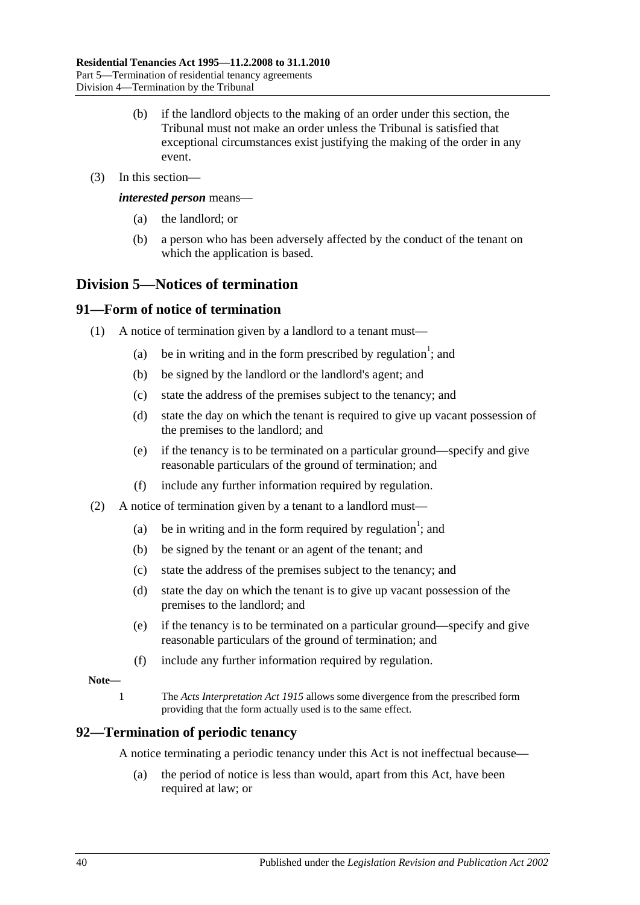- (b) if the landlord objects to the making of an order under this section, the Tribunal must not make an order unless the Tribunal is satisfied that exceptional circumstances exist justifying the making of the order in any event.
- (3) In this section—

*interested person* means—

- (a) the landlord; or
- (b) a person who has been adversely affected by the conduct of the tenant on which the application is based.

## <span id="page-39-0"></span>**Division 5—Notices of termination**

## <span id="page-39-1"></span>**91—Form of notice of termination**

- (1) A notice of termination given by a landlord to a tenant must—
	- (a) be in writing and in the form prescribed by regulation<sup>1</sup>; and
	- (b) be signed by the landlord or the landlord's agent; and
	- (c) state the address of the premises subject to the tenancy; and
	- (d) state the day on which the tenant is required to give up vacant possession of the premises to the landlord; and
	- (e) if the tenancy is to be terminated on a particular ground—specify and give reasonable particulars of the ground of termination; and
	- (f) include any further information required by regulation.
- (2) A notice of termination given by a tenant to a landlord must—
	- (a) be in writing and in the form required by regulation<sup>1</sup>; and
	- (b) be signed by the tenant or an agent of the tenant; and
	- (c) state the address of the premises subject to the tenancy; and
	- (d) state the day on which the tenant is to give up vacant possession of the premises to the landlord; and
	- (e) if the tenancy is to be terminated on a particular ground—specify and give reasonable particulars of the ground of termination; and
	- (f) include any further information required by regulation.

#### **Note—**

1 The *[Acts Interpretation Act](http://www.legislation.sa.gov.au/index.aspx?action=legref&type=act&legtitle=Acts%20Interpretation%20Act%201915) 1915* allows some divergence from the prescribed form providing that the form actually used is to the same effect.

## <span id="page-39-2"></span>**92—Termination of periodic tenancy**

A notice terminating a periodic tenancy under this Act is not ineffectual because—

(a) the period of notice is less than would, apart from this Act, have been required at law; or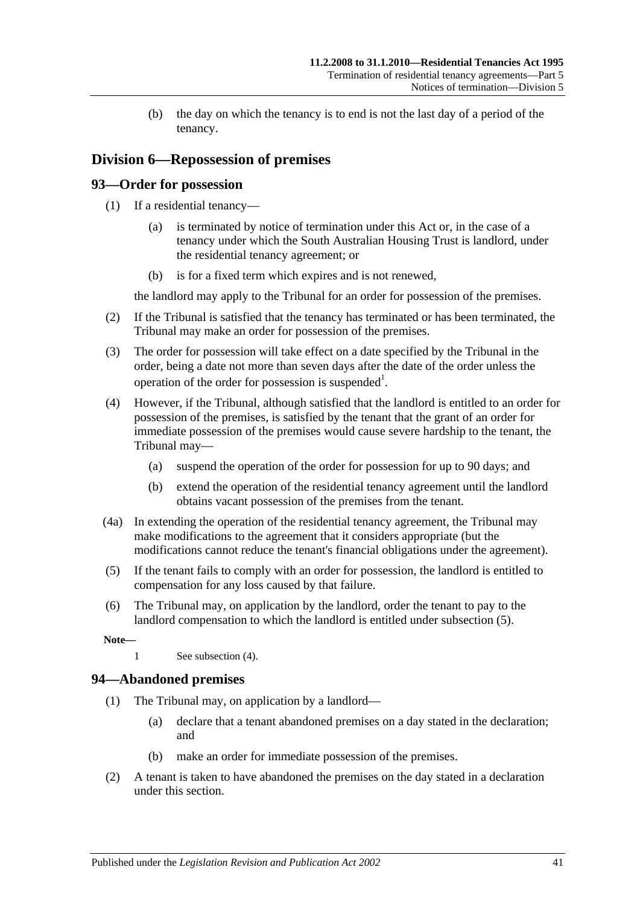(b) the day on which the tenancy is to end is not the last day of a period of the tenancy.

## <span id="page-40-0"></span>**Division 6—Repossession of premises**

## <span id="page-40-1"></span>**93—Order for possession**

- (1) If a residential tenancy—
	- (a) is terminated by notice of termination under this Act or, in the case of a tenancy under which the South Australian Housing Trust is landlord, under the residential tenancy agreement; or
	- (b) is for a fixed term which expires and is not renewed,

the landlord may apply to the Tribunal for an order for possession of the premises.

- (2) If the Tribunal is satisfied that the tenancy has terminated or has been terminated, the Tribunal may make an order for possession of the premises.
- (3) The order for possession will take effect on a date specified by the Tribunal in the order, being a date not more than seven days after the date of the order unless the operation of the order for possession is suspended<sup>1</sup>.
- <span id="page-40-4"></span>(4) However, if the Tribunal, although satisfied that the landlord is entitled to an order for possession of the premises, is satisfied by the tenant that the grant of an order for immediate possession of the premises would cause severe hardship to the tenant, the Tribunal may—
	- (a) suspend the operation of the order for possession for up to 90 days; and
	- (b) extend the operation of the residential tenancy agreement until the landlord obtains vacant possession of the premises from the tenant.
- (4a) In extending the operation of the residential tenancy agreement, the Tribunal may make modifications to the agreement that it considers appropriate (but the modifications cannot reduce the tenant's financial obligations under the agreement).
- <span id="page-40-3"></span>(5) If the tenant fails to comply with an order for possession, the landlord is entitled to compensation for any loss caused by that failure.
- (6) The Tribunal may, on application by the landlord, order the tenant to pay to the landlord compensation to which the landlord is entitled under [subsection](#page-40-3) (5).

**Note—**

1 See [subsection](#page-40-4) (4).

## <span id="page-40-2"></span>**94—Abandoned premises**

- (1) The Tribunal may, on application by a landlord—
	- (a) declare that a tenant abandoned premises on a day stated in the declaration; and
	- (b) make an order for immediate possession of the premises.
- (2) A tenant is taken to have abandoned the premises on the day stated in a declaration under this section.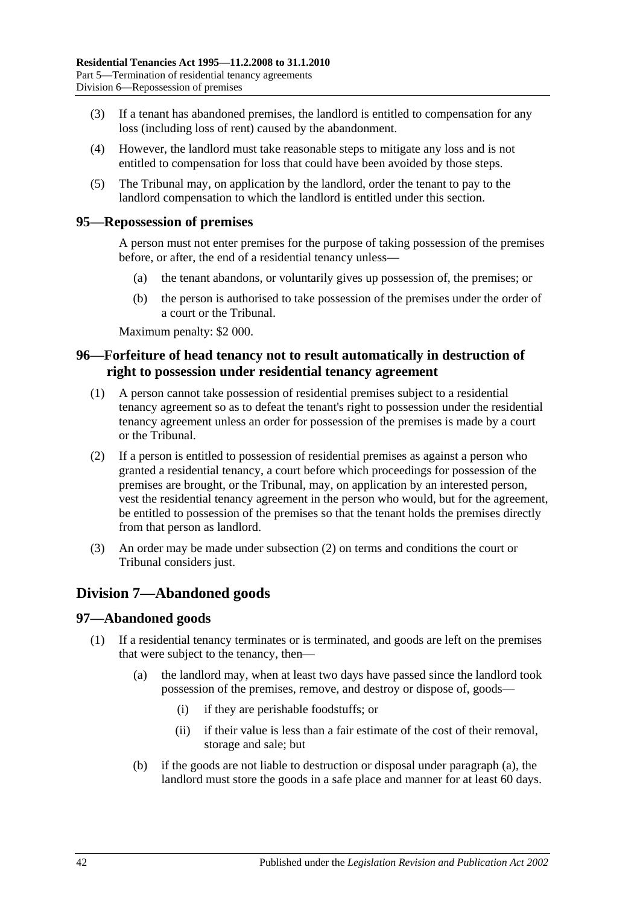- (3) If a tenant has abandoned premises, the landlord is entitled to compensation for any loss (including loss of rent) caused by the abandonment.
- (4) However, the landlord must take reasonable steps to mitigate any loss and is not entitled to compensation for loss that could have been avoided by those steps.
- (5) The Tribunal may, on application by the landlord, order the tenant to pay to the landlord compensation to which the landlord is entitled under this section.

#### <span id="page-41-0"></span>**95—Repossession of premises**

A person must not enter premises for the purpose of taking possession of the premises before, or after, the end of a residential tenancy unless—

- (a) the tenant abandons, or voluntarily gives up possession of, the premises; or
- (b) the person is authorised to take possession of the premises under the order of a court or the Tribunal.

Maximum penalty: \$2 000.

## <span id="page-41-1"></span>**96—Forfeiture of head tenancy not to result automatically in destruction of right to possession under residential tenancy agreement**

- (1) A person cannot take possession of residential premises subject to a residential tenancy agreement so as to defeat the tenant's right to possession under the residential tenancy agreement unless an order for possession of the premises is made by a court or the Tribunal.
- <span id="page-41-4"></span>(2) If a person is entitled to possession of residential premises as against a person who granted a residential tenancy, a court before which proceedings for possession of the premises are brought, or the Tribunal, may, on application by an interested person, vest the residential tenancy agreement in the person who would, but for the agreement, be entitled to possession of the premises so that the tenant holds the premises directly from that person as landlord.
- (3) An order may be made under [subsection](#page-41-4) (2) on terms and conditions the court or Tribunal considers just.

## <span id="page-41-2"></span>**Division 7—Abandoned goods**

## <span id="page-41-3"></span>**97—Abandoned goods**

- <span id="page-41-5"></span>(1) If a residential tenancy terminates or is terminated, and goods are left on the premises that were subject to the tenancy, then—
	- (a) the landlord may, when at least two days have passed since the landlord took possession of the premises, remove, and destroy or dispose of, goods—
		- (i) if they are perishable foodstuffs; or
		- (ii) if their value is less than a fair estimate of the cost of their removal, storage and sale; but
	- (b) if the goods are not liable to destruction or disposal under [paragraph](#page-41-5) (a), the landlord must store the goods in a safe place and manner for at least 60 days.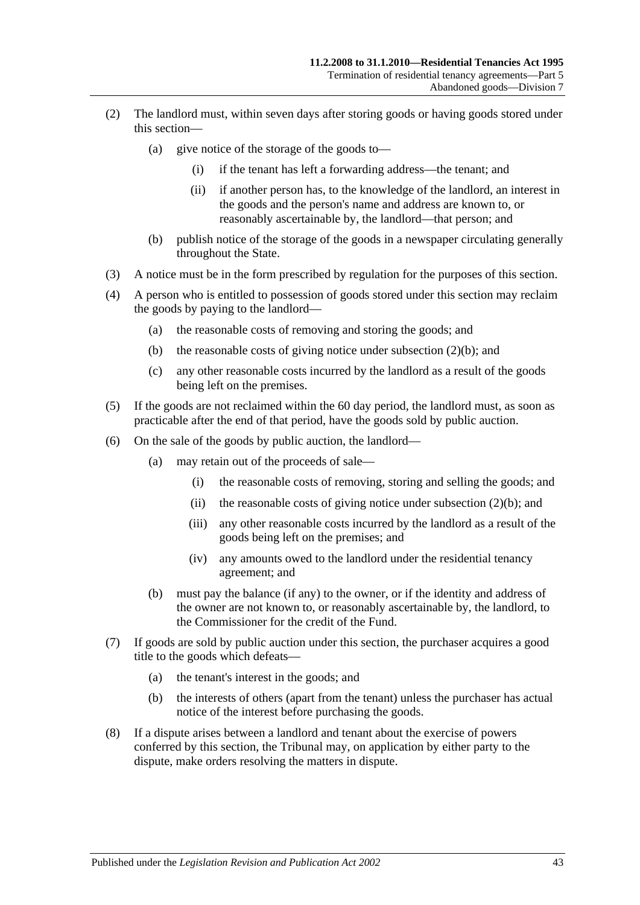- (2) The landlord must, within seven days after storing goods or having goods stored under this section—
	- (a) give notice of the storage of the goods to—
		- (i) if the tenant has left a forwarding address—the tenant; and
		- (ii) if another person has, to the knowledge of the landlord, an interest in the goods and the person's name and address are known to, or reasonably ascertainable by, the landlord—that person; and
	- (b) publish notice of the storage of the goods in a newspaper circulating generally throughout the State.
- <span id="page-42-0"></span>(3) A notice must be in the form prescribed by regulation for the purposes of this section.
- (4) A person who is entitled to possession of goods stored under this section may reclaim the goods by paying to the landlord—
	- (a) the reasonable costs of removing and storing the goods; and
	- (b) the reasonable costs of giving notice under [subsection](#page-42-0) (2)(b); and
	- (c) any other reasonable costs incurred by the landlord as a result of the goods being left on the premises.
- (5) If the goods are not reclaimed within the 60 day period, the landlord must, as soon as practicable after the end of that period, have the goods sold by public auction.
- (6) On the sale of the goods by public auction, the landlord—
	- (a) may retain out of the proceeds of sale—
		- (i) the reasonable costs of removing, storing and selling the goods; and
		- (ii) the reasonable costs of giving notice under [subsection](#page-42-0)  $(2)(b)$ ; and
		- (iii) any other reasonable costs incurred by the landlord as a result of the goods being left on the premises; and
		- (iv) any amounts owed to the landlord under the residential tenancy agreement; and
	- (b) must pay the balance (if any) to the owner, or if the identity and address of the owner are not known to, or reasonably ascertainable by, the landlord, to the Commissioner for the credit of the Fund.
- (7) If goods are sold by public auction under this section, the purchaser acquires a good title to the goods which defeats—
	- (a) the tenant's interest in the goods; and
	- (b) the interests of others (apart from the tenant) unless the purchaser has actual notice of the interest before purchasing the goods.
- (8) If a dispute arises between a landlord and tenant about the exercise of powers conferred by this section, the Tribunal may, on application by either party to the dispute, make orders resolving the matters in dispute.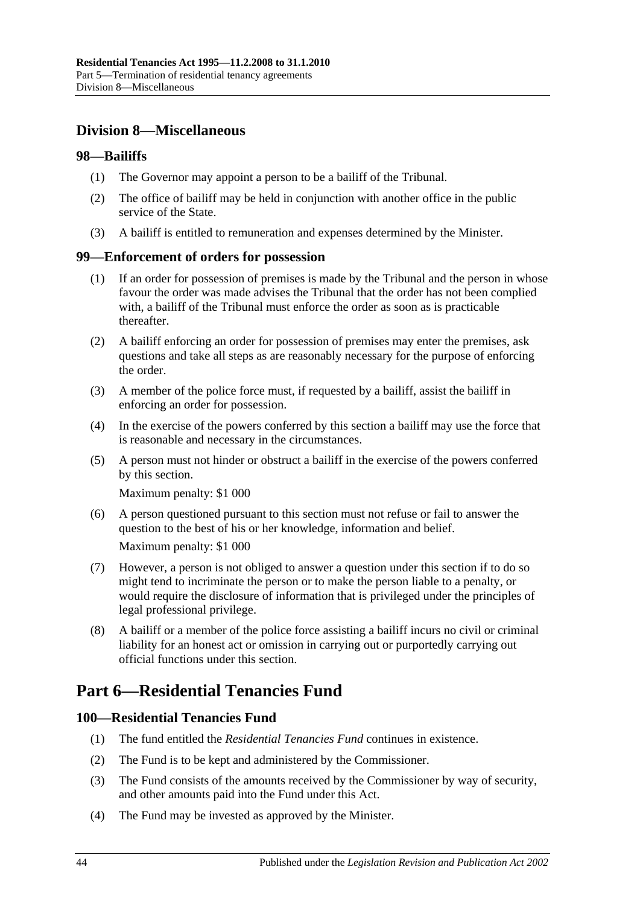## <span id="page-43-0"></span>**Division 8—Miscellaneous**

### <span id="page-43-1"></span>**98—Bailiffs**

- (1) The Governor may appoint a person to be a bailiff of the Tribunal.
- (2) The office of bailiff may be held in conjunction with another office in the public service of the State.
- (3) A bailiff is entitled to remuneration and expenses determined by the Minister.

## <span id="page-43-2"></span>**99—Enforcement of orders for possession**

- (1) If an order for possession of premises is made by the Tribunal and the person in whose favour the order was made advises the Tribunal that the order has not been complied with, a bailiff of the Tribunal must enforce the order as soon as is practicable thereafter.
- (2) A bailiff enforcing an order for possession of premises may enter the premises, ask questions and take all steps as are reasonably necessary for the purpose of enforcing the order.
- (3) A member of the police force must, if requested by a bailiff, assist the bailiff in enforcing an order for possession.
- (4) In the exercise of the powers conferred by this section a bailiff may use the force that is reasonable and necessary in the circumstances.
- (5) A person must not hinder or obstruct a bailiff in the exercise of the powers conferred by this section.

Maximum penalty: \$1 000

(6) A person questioned pursuant to this section must not refuse or fail to answer the question to the best of his or her knowledge, information and belief.

Maximum penalty: \$1 000

- (7) However, a person is not obliged to answer a question under this section if to do so might tend to incriminate the person or to make the person liable to a penalty, or would require the disclosure of information that is privileged under the principles of legal professional privilege.
- (8) A bailiff or a member of the police force assisting a bailiff incurs no civil or criminal liability for an honest act or omission in carrying out or purportedly carrying out official functions under this section.

# <span id="page-43-3"></span>**Part 6—Residential Tenancies Fund**

## <span id="page-43-4"></span>**100—Residential Tenancies Fund**

- (1) The fund entitled the *Residential Tenancies Fund* continues in existence.
- (2) The Fund is to be kept and administered by the Commissioner.
- (3) The Fund consists of the amounts received by the Commissioner by way of security, and other amounts paid into the Fund under this Act.
- (4) The Fund may be invested as approved by the Minister.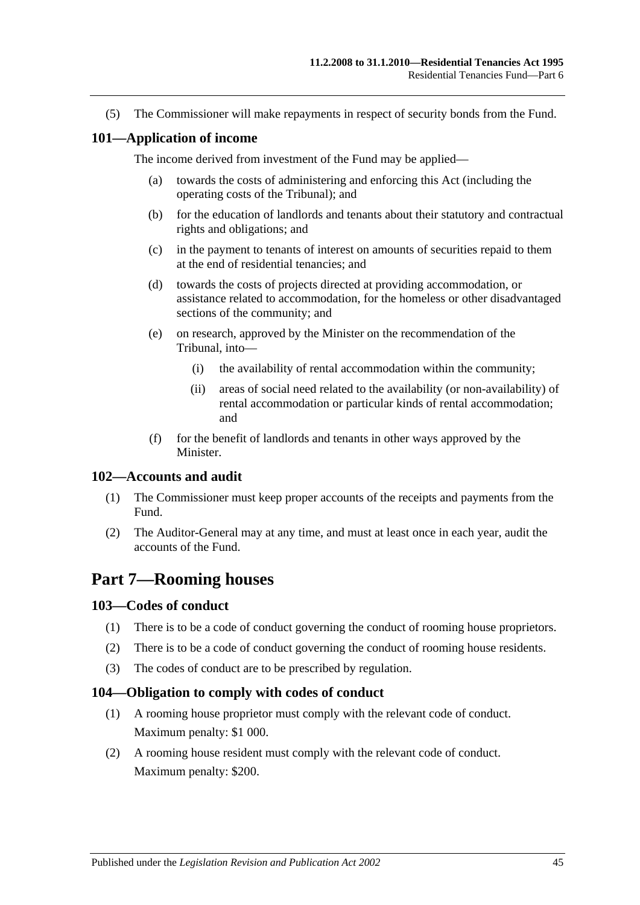(5) The Commissioner will make repayments in respect of security bonds from the Fund.

#### <span id="page-44-0"></span>**101—Application of income**

The income derived from investment of the Fund may be applied—

- (a) towards the costs of administering and enforcing this Act (including the operating costs of the Tribunal); and
- (b) for the education of landlords and tenants about their statutory and contractual rights and obligations; and
- (c) in the payment to tenants of interest on amounts of securities repaid to them at the end of residential tenancies; and
- (d) towards the costs of projects directed at providing accommodation, or assistance related to accommodation, for the homeless or other disadvantaged sections of the community; and
- (e) on research, approved by the Minister on the recommendation of the Tribunal, into—
	- (i) the availability of rental accommodation within the community;
	- (ii) areas of social need related to the availability (or non-availability) of rental accommodation or particular kinds of rental accommodation; and
- (f) for the benefit of landlords and tenants in other ways approved by the Minister.

#### <span id="page-44-1"></span>**102—Accounts and audit**

- (1) The Commissioner must keep proper accounts of the receipts and payments from the Fund.
- (2) The Auditor-General may at any time, and must at least once in each year, audit the accounts of the Fund.

## <span id="page-44-2"></span>**Part 7—Rooming houses**

## <span id="page-44-3"></span>**103—Codes of conduct**

- (1) There is to be a code of conduct governing the conduct of rooming house proprietors.
- (2) There is to be a code of conduct governing the conduct of rooming house residents.
- (3) The codes of conduct are to be prescribed by regulation.

#### <span id="page-44-4"></span>**104—Obligation to comply with codes of conduct**

- (1) A rooming house proprietor must comply with the relevant code of conduct. Maximum penalty: \$1 000.
- (2) A rooming house resident must comply with the relevant code of conduct. Maximum penalty: \$200.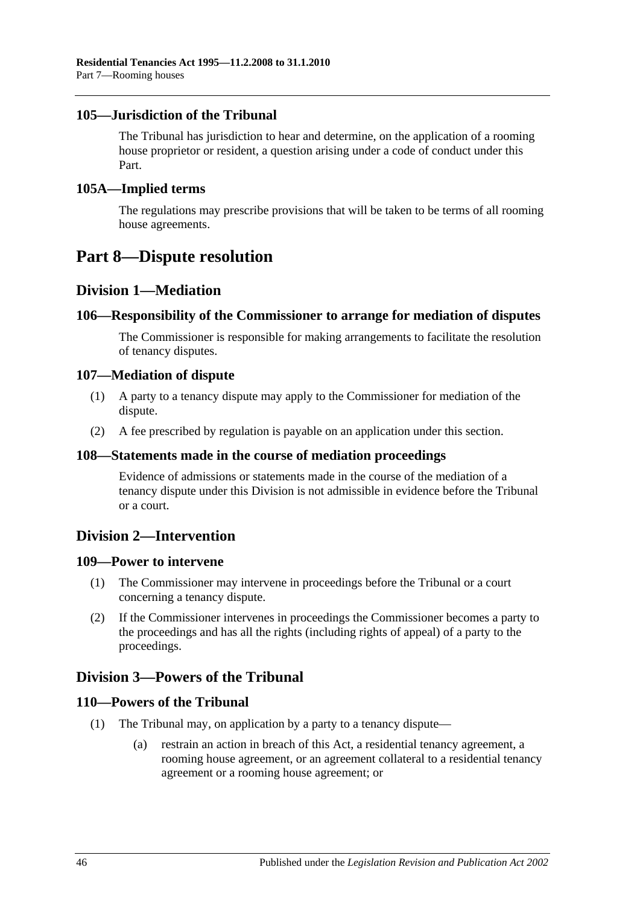## <span id="page-45-0"></span>**105—Jurisdiction of the Tribunal**

The Tribunal has jurisdiction to hear and determine, on the application of a rooming house proprietor or resident, a question arising under a code of conduct under this Part.

#### <span id="page-45-1"></span>**105A—Implied terms**

The regulations may prescribe provisions that will be taken to be terms of all rooming house agreements.

## <span id="page-45-2"></span>**Part 8—Dispute resolution**

## <span id="page-45-3"></span>**Division 1—Mediation**

#### <span id="page-45-4"></span>**106—Responsibility of the Commissioner to arrange for mediation of disputes**

The Commissioner is responsible for making arrangements to facilitate the resolution of tenancy disputes.

#### <span id="page-45-5"></span>**107—Mediation of dispute**

- (1) A party to a tenancy dispute may apply to the Commissioner for mediation of the dispute.
- (2) A fee prescribed by regulation is payable on an application under this section.

#### <span id="page-45-6"></span>**108—Statements made in the course of mediation proceedings**

Evidence of admissions or statements made in the course of the mediation of a tenancy dispute under this Division is not admissible in evidence before the Tribunal or a court.

## <span id="page-45-7"></span>**Division 2—Intervention**

#### <span id="page-45-8"></span>**109—Power to intervene**

- (1) The Commissioner may intervene in proceedings before the Tribunal or a court concerning a tenancy dispute.
- (2) If the Commissioner intervenes in proceedings the Commissioner becomes a party to the proceedings and has all the rights (including rights of appeal) of a party to the proceedings.

## <span id="page-45-9"></span>**Division 3—Powers of the Tribunal**

#### <span id="page-45-10"></span>**110—Powers of the Tribunal**

- (1) The Tribunal may, on application by a party to a tenancy dispute—
	- (a) restrain an action in breach of this Act, a residential tenancy agreement, a rooming house agreement, or an agreement collateral to a residential tenancy agreement or a rooming house agreement; or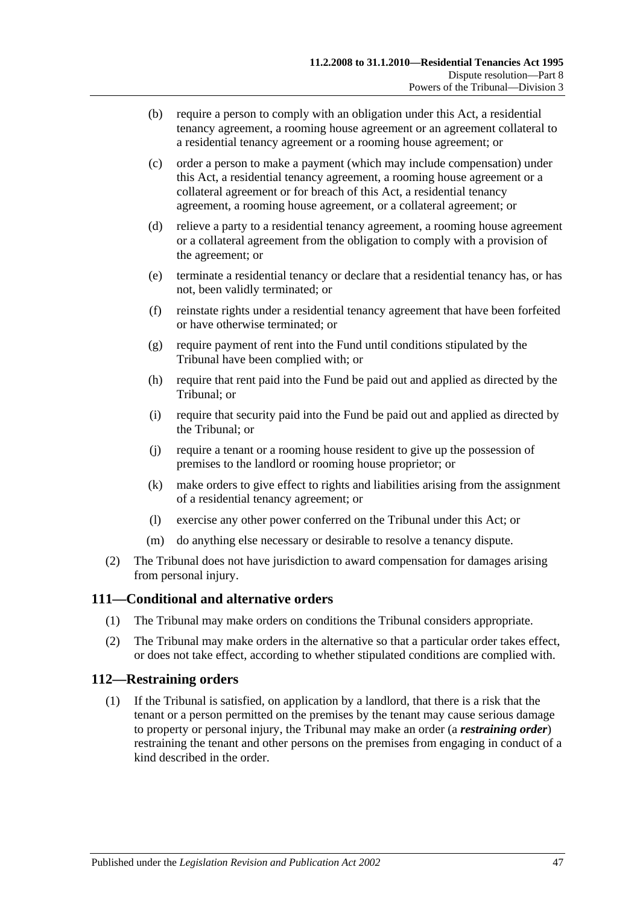- (b) require a person to comply with an obligation under this Act, a residential tenancy agreement, a rooming house agreement or an agreement collateral to a residential tenancy agreement or a rooming house agreement; or
- (c) order a person to make a payment (which may include compensation) under this Act, a residential tenancy agreement, a rooming house agreement or a collateral agreement or for breach of this Act, a residential tenancy agreement, a rooming house agreement, or a collateral agreement; or
- (d) relieve a party to a residential tenancy agreement, a rooming house agreement or a collateral agreement from the obligation to comply with a provision of the agreement; or
- (e) terminate a residential tenancy or declare that a residential tenancy has, or has not, been validly terminated; or
- (f) reinstate rights under a residential tenancy agreement that have been forfeited or have otherwise terminated; or
- (g) require payment of rent into the Fund until conditions stipulated by the Tribunal have been complied with; or
- (h) require that rent paid into the Fund be paid out and applied as directed by the Tribunal; or
- (i) require that security paid into the Fund be paid out and applied as directed by the Tribunal; or
- (j) require a tenant or a rooming house resident to give up the possession of premises to the landlord or rooming house proprietor; or
- (k) make orders to give effect to rights and liabilities arising from the assignment of a residential tenancy agreement; or
- (l) exercise any other power conferred on the Tribunal under this Act; or
- (m) do anything else necessary or desirable to resolve a tenancy dispute.
- (2) The Tribunal does not have jurisdiction to award compensation for damages arising from personal injury.

## <span id="page-46-0"></span>**111—Conditional and alternative orders**

- (1) The Tribunal may make orders on conditions the Tribunal considers appropriate.
- (2) The Tribunal may make orders in the alternative so that a particular order takes effect, or does not take effect, according to whether stipulated conditions are complied with.

## <span id="page-46-1"></span>**112—Restraining orders**

(1) If the Tribunal is satisfied, on application by a landlord, that there is a risk that the tenant or a person permitted on the premises by the tenant may cause serious damage to property or personal injury, the Tribunal may make an order (a *restraining order*) restraining the tenant and other persons on the premises from engaging in conduct of a kind described in the order.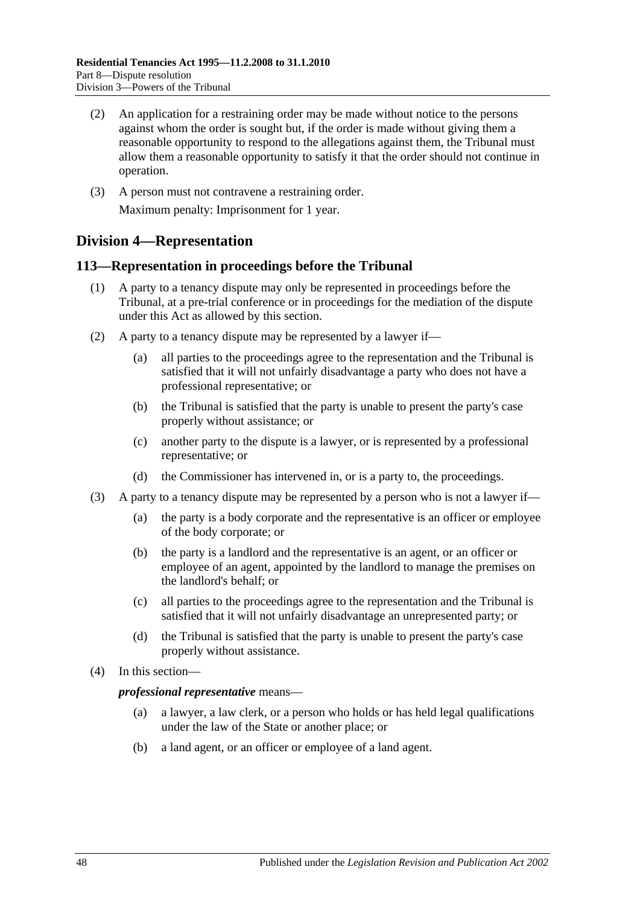- (2) An application for a restraining order may be made without notice to the persons against whom the order is sought but, if the order is made without giving them a reasonable opportunity to respond to the allegations against them, the Tribunal must allow them a reasonable opportunity to satisfy it that the order should not continue in operation.
- (3) A person must not contravene a restraining order. Maximum penalty: Imprisonment for 1 year.

## <span id="page-47-0"></span>**Division 4—Representation**

## <span id="page-47-1"></span>**113—Representation in proceedings before the Tribunal**

- (1) A party to a tenancy dispute may only be represented in proceedings before the Tribunal, at a pre-trial conference or in proceedings for the mediation of the dispute under this Act as allowed by this section.
- (2) A party to a tenancy dispute may be represented by a lawyer if—
	- (a) all parties to the proceedings agree to the representation and the Tribunal is satisfied that it will not unfairly disadvantage a party who does not have a professional representative; or
	- (b) the Tribunal is satisfied that the party is unable to present the party's case properly without assistance; or
	- (c) another party to the dispute is a lawyer, or is represented by a professional representative; or
	- (d) the Commissioner has intervened in, or is a party to, the proceedings.
- (3) A party to a tenancy dispute may be represented by a person who is not a lawyer if—
	- (a) the party is a body corporate and the representative is an officer or employee of the body corporate; or
	- (b) the party is a landlord and the representative is an agent, or an officer or employee of an agent, appointed by the landlord to manage the premises on the landlord's behalf; or
	- (c) all parties to the proceedings agree to the representation and the Tribunal is satisfied that it will not unfairly disadvantage an unrepresented party; or
	- (d) the Tribunal is satisfied that the party is unable to present the party's case properly without assistance.
- (4) In this section—

#### *professional representative* means—

- (a) a lawyer, a law clerk, or a person who holds or has held legal qualifications under the law of the State or another place; or
- (b) a land agent, or an officer or employee of a land agent.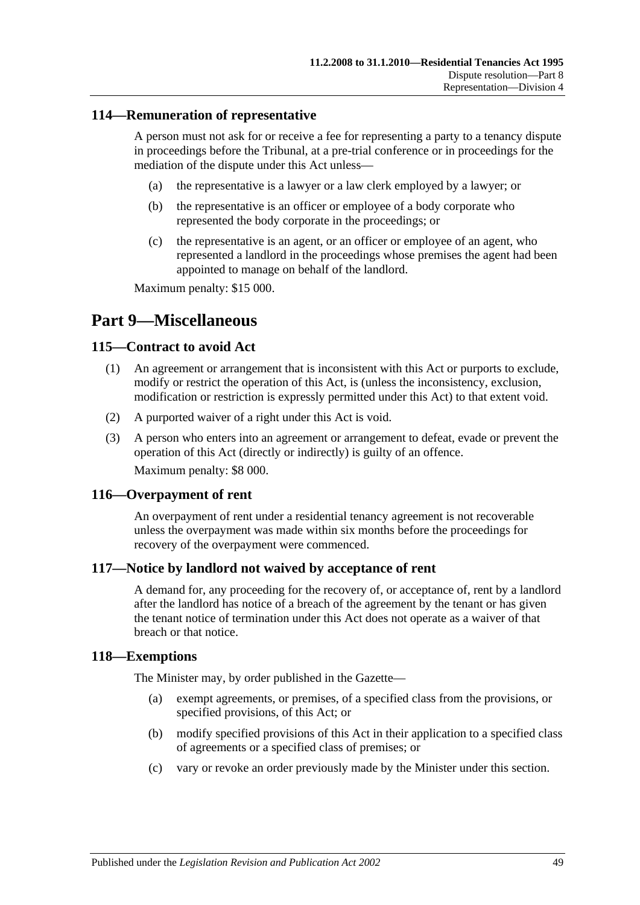### <span id="page-48-0"></span>**114—Remuneration of representative**

A person must not ask for or receive a fee for representing a party to a tenancy dispute in proceedings before the Tribunal, at a pre-trial conference or in proceedings for the mediation of the dispute under this Act unless—

- (a) the representative is a lawyer or a law clerk employed by a lawyer; or
- (b) the representative is an officer or employee of a body corporate who represented the body corporate in the proceedings; or
- (c) the representative is an agent, or an officer or employee of an agent, who represented a landlord in the proceedings whose premises the agent had been appointed to manage on behalf of the landlord.

Maximum penalty: \$15 000.

## <span id="page-48-1"></span>**Part 9—Miscellaneous**

#### <span id="page-48-2"></span>**115—Contract to avoid Act**

- (1) An agreement or arrangement that is inconsistent with this Act or purports to exclude, modify or restrict the operation of this Act, is (unless the inconsistency, exclusion, modification or restriction is expressly permitted under this Act) to that extent void.
- (2) A purported waiver of a right under this Act is void.
- (3) A person who enters into an agreement or arrangement to defeat, evade or prevent the operation of this Act (directly or indirectly) is guilty of an offence.

Maximum penalty: \$8 000.

#### <span id="page-48-3"></span>**116—Overpayment of rent**

An overpayment of rent under a residential tenancy agreement is not recoverable unless the overpayment was made within six months before the proceedings for recovery of the overpayment were commenced.

#### <span id="page-48-4"></span>**117—Notice by landlord not waived by acceptance of rent**

A demand for, any proceeding for the recovery of, or acceptance of, rent by a landlord after the landlord has notice of a breach of the agreement by the tenant or has given the tenant notice of termination under this Act does not operate as a waiver of that breach or that notice.

#### <span id="page-48-5"></span>**118—Exemptions**

The Minister may, by order published in the Gazette—

- (a) exempt agreements, or premises, of a specified class from the provisions, or specified provisions, of this Act; or
- (b) modify specified provisions of this Act in their application to a specified class of agreements or a specified class of premises; or
- (c) vary or revoke an order previously made by the Minister under this section.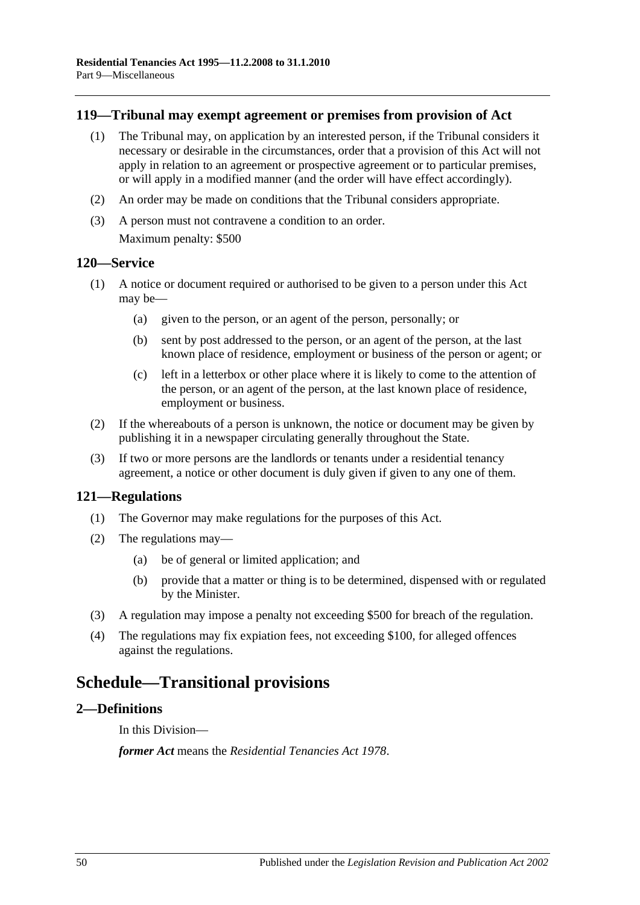### <span id="page-49-0"></span>**119—Tribunal may exempt agreement or premises from provision of Act**

- (1) The Tribunal may, on application by an interested person, if the Tribunal considers it necessary or desirable in the circumstances, order that a provision of this Act will not apply in relation to an agreement or prospective agreement or to particular premises, or will apply in a modified manner (and the order will have effect accordingly).
- (2) An order may be made on conditions that the Tribunal considers appropriate.
- (3) A person must not contravene a condition to an order. Maximum penalty: \$500

#### <span id="page-49-1"></span>**120—Service**

- (1) A notice or document required or authorised to be given to a person under this Act may be—
	- (a) given to the person, or an agent of the person, personally; or
	- (b) sent by post addressed to the person, or an agent of the person, at the last known place of residence, employment or business of the person or agent; or
	- (c) left in a letterbox or other place where it is likely to come to the attention of the person, or an agent of the person, at the last known place of residence, employment or business.
- (2) If the whereabouts of a person is unknown, the notice or document may be given by publishing it in a newspaper circulating generally throughout the State.
- (3) If two or more persons are the landlords or tenants under a residential tenancy agreement, a notice or other document is duly given if given to any one of them.

#### <span id="page-49-2"></span>**121—Regulations**

- (1) The Governor may make regulations for the purposes of this Act.
- (2) The regulations may—
	- (a) be of general or limited application; and
	- (b) provide that a matter or thing is to be determined, dispensed with or regulated by the Minister.
- (3) A regulation may impose a penalty not exceeding \$500 for breach of the regulation.
- (4) The regulations may fix expiation fees, not exceeding \$100, for alleged offences against the regulations.

## <span id="page-49-3"></span>**Schedule—Transitional provisions**

#### <span id="page-49-4"></span>**2—Definitions**

In this Division—

*former Act* means the *[Residential Tenancies Act](http://www.legislation.sa.gov.au/index.aspx?action=legref&type=act&legtitle=Residential%20Tenancies%20Act%201978) 1978*.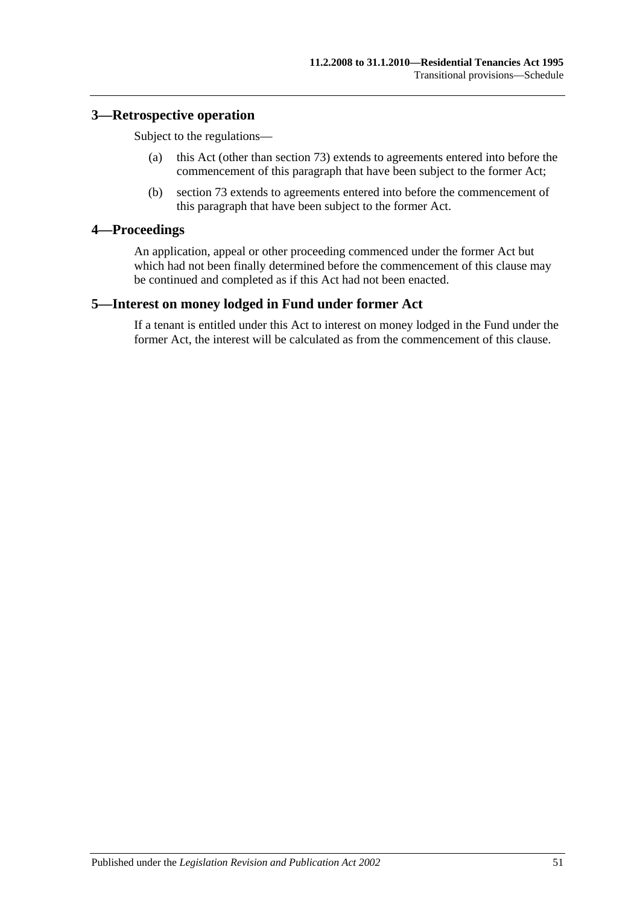### <span id="page-50-0"></span>**3—Retrospective operation**

Subject to the regulations—

- (a) this Act (other than [section](#page-31-1) 73) extends to agreements entered into before the commencement of this paragraph that have been subject to the former Act;
- (b) [section](#page-31-1) 73 extends to agreements entered into before the commencement of this paragraph that have been subject to the former Act.

## <span id="page-50-1"></span>**4—Proceedings**

An application, appeal or other proceeding commenced under the former Act but which had not been finally determined before the commencement of this clause may be continued and completed as if this Act had not been enacted.

#### <span id="page-50-2"></span>**5—Interest on money lodged in Fund under former Act**

If a tenant is entitled under this Act to interest on money lodged in the Fund under the former Act, the interest will be calculated as from the commencement of this clause.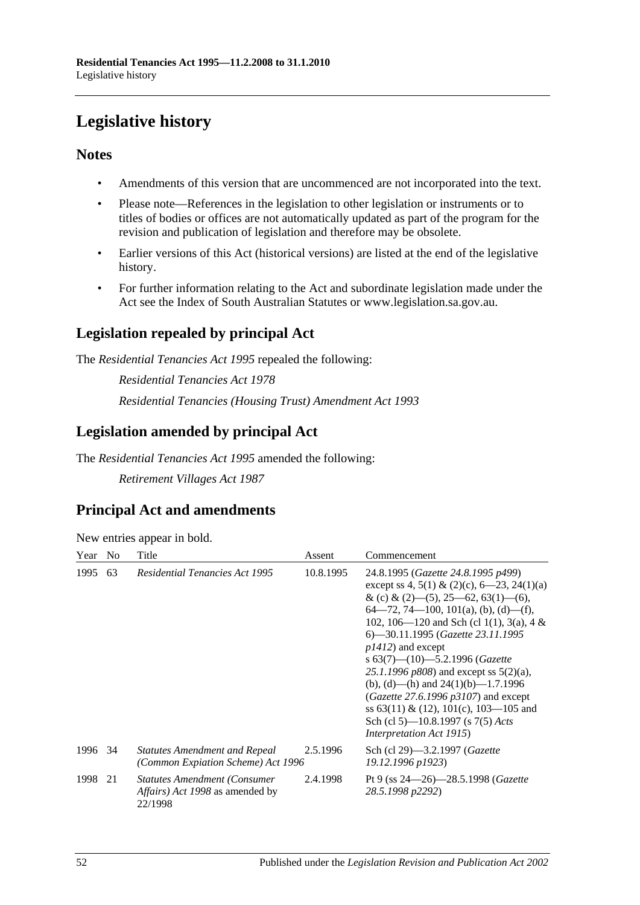# <span id="page-51-0"></span>**Legislative history**

## **Notes**

- Amendments of this version that are uncommenced are not incorporated into the text.
- Please note—References in the legislation to other legislation or instruments or to titles of bodies or offices are not automatically updated as part of the program for the revision and publication of legislation and therefore may be obsolete.
- Earlier versions of this Act (historical versions) are listed at the end of the legislative history.
- For further information relating to the Act and subordinate legislation made under the Act see the Index of South Australian Statutes or www.legislation.sa.gov.au.

## **Legislation repealed by principal Act**

The *Residential Tenancies Act 1995* repealed the following:

*Residential Tenancies Act 1978 Residential Tenancies (Housing Trust) Amendment Act 1993*

## **Legislation amended by principal Act**

The *Residential Tenancies Act 1995* amended the following:

*Retirement Villages Act 1987*

## **Principal Act and amendments**

| New entries appear in bold. |  |  |
|-----------------------------|--|--|
|                             |  |  |

| Year    | N <sub>0</sub> | Title                                                                              | Assent    | Commencement                                                                                                                                                                                                                                                                                                                                                                                                                                                                                                                                                             |
|---------|----------------|------------------------------------------------------------------------------------|-----------|--------------------------------------------------------------------------------------------------------------------------------------------------------------------------------------------------------------------------------------------------------------------------------------------------------------------------------------------------------------------------------------------------------------------------------------------------------------------------------------------------------------------------------------------------------------------------|
| 1995    | 63             | <b>Residential Tenancies Act 1995</b>                                              | 10.8.1995 | 24.8.1995 (Gazette 24.8.1995 p499)<br>except ss 4, 5(1) & (2)(c), $6-23$ , 24(1)(a)<br>& (c) & (2)–(5), 25–62, 63(1)–(6),<br>$64-72, 74-100, 101(a), (b), (d)-(f),$<br>102, 106—120 and Sch (cl 1(1), 3(a), 4 &<br>6—30.11.1995 (Gazette 23.11.1995<br>$p1412$ ) and except<br>s $63(7)$ — $(10)$ —5.2.1996 (Gazette<br>25.1.1996 $p808$ ) and except ss $5(2)(a)$ ,<br>(b), (d)—(h) and $24(1)(b)$ —1.7.1996<br>( <i>Gazette 27.6.1996 p3107</i> ) and except<br>ss 63(11) & (12), 101(c), 103—105 and<br>Sch (cl 5)—10.8.1997 (s 7(5) Acts<br>Interpretation Act 1915) |
| 1996 34 |                | <b>Statutes Amendment and Repeal</b><br>(Common Expiation Scheme) Act 1996         | 2.5.1996  | Sch (cl 29)—3.2.1997 ( <i>Gazette</i><br>19.12.1996 p1923)                                                                                                                                                                                                                                                                                                                                                                                                                                                                                                               |
| 1998    | 21             | <b>Statutes Amendment (Consumer)</b><br>Affairs) Act 1998 as amended by<br>22/1998 | 2.4.1998  | Pt 9 (ss $24 - 26$ ) - 28.5.1998 (Gazette<br>28.5.1998 p2292)                                                                                                                                                                                                                                                                                                                                                                                                                                                                                                            |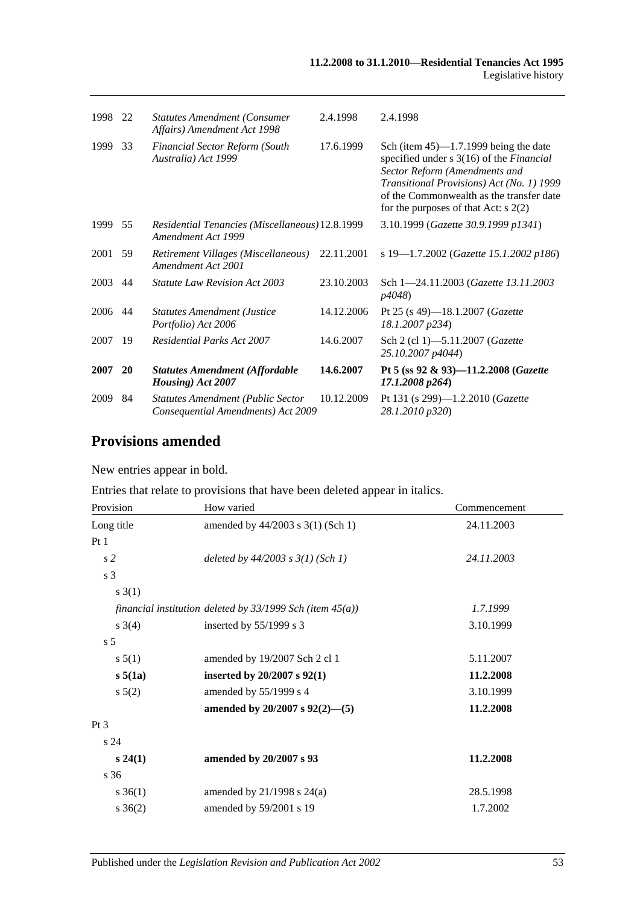| 1998 | 22 | <b>Statutes Amendment (Consumer</b><br>Affairs) Amendment Act 1998             | 2.4.1998   | 2.4.1998                                                                                                                                                                                                                                                        |
|------|----|--------------------------------------------------------------------------------|------------|-----------------------------------------------------------------------------------------------------------------------------------------------------------------------------------------------------------------------------------------------------------------|
| 1999 | 33 | <b>Financial Sector Reform (South</b><br>Australia) Act 1999                   | 17.6.1999  | Sch (item $45$ )—1.7.1999 being the date<br>specified under s 3(16) of the <i>Financial</i><br>Sector Reform (Amendments and<br>Transitional Provisions) Act (No. 1) 1999<br>of the Commonwealth as the transfer date<br>for the purposes of that Act: $s$ 2(2) |
| 1999 | 55 | Residential Tenancies (Miscellaneous) 12.8.1999<br>Amendment Act 1999          |            | 3.10.1999 (Gazette 30.9.1999 p1341)                                                                                                                                                                                                                             |
| 2001 | 59 | Retirement Villages (Miscellaneous)<br>Amendment Act 2001                      | 22.11.2001 | s 19-1.7.2002 (Gazette 15.1.2002 p186)                                                                                                                                                                                                                          |
| 2003 | 44 | <b>Statute Law Revision Act 2003</b>                                           | 23.10.2003 | Sch 1-24.11.2003 (Gazette 13.11.2003)<br><i>p4048</i> )                                                                                                                                                                                                         |
| 2006 | 44 | <b>Statutes Amendment (Justice</b><br>Portfolio) Act 2006                      | 14.12.2006 | Pt 25 (s 49)-18.1.2007 ( <i>Gazette</i><br>18.1.2007 p234)                                                                                                                                                                                                      |
| 2007 | 19 | <b>Residential Parks Act 2007</b>                                              | 14.6.2007  | Sch 2 (cl 1)-5.11.2007 ( <i>Gazette</i><br>25.10.2007 p4044)                                                                                                                                                                                                    |
| 2007 | 20 | <b>Statutes Amendment (Affordable</b><br>Housing) Act 2007                     | 14.6.2007  | Pt 5 (ss 92 & 93)-11.2.2008 (Gazette<br>$17.1.2008\ p264$                                                                                                                                                                                                       |
| 2009 | 84 | <b>Statutes Amendment (Public Sector</b><br>Consequential Amendments) Act 2009 | 10.12.2009 | Pt 131 (s 299)-1.2.2010 (Gazette<br>28.1.2010 p320)                                                                                                                                                                                                             |

## **Provisions amended**

New entries appear in bold.

| Entries that relate to provisions that have been deleted appear in italics. |  |  |  |
|-----------------------------------------------------------------------------|--|--|--|
|-----------------------------------------------------------------------------|--|--|--|

| Provision       | How varied                                                     | Commencement |
|-----------------|----------------------------------------------------------------|--------------|
| Long title      | amended by 44/2003 s 3(1) (Sch 1)                              | 24.11.2003   |
| Pt1             |                                                                |              |
| s <sub>2</sub>  | deleted by $44/2003$ s $3(1)$ (Sch 1)                          | 24.11.2003   |
| s <sub>3</sub>  |                                                                |              |
| s(3(1))         |                                                                |              |
|                 | financial institution deleted by $33/1999$ Sch (item $45(a)$ ) | 1.7.1999     |
| $s \; 3(4)$     | inserted by $55/1999$ s 3                                      | 3.10.1999    |
| s <sub>5</sub>  |                                                                |              |
| s 5(1)          | amended by 19/2007 Sch 2 cl 1                                  | 5.11.2007    |
| s 5(1a)         | inserted by 20/2007 s 92(1)                                    | 11.2.2008    |
| $s\,5(2)$       | amended by 55/1999 s 4                                         | 3.10.1999    |
|                 | amended by 20/2007 s $92(2)$ —(5)                              | 11.2.2008    |
| $Pt\,3$         |                                                                |              |
| s <sub>24</sub> |                                                                |              |
| $s\,24(1)$      | amended by 20/2007 s 93                                        | 11.2.2008    |
| s 36            |                                                                |              |
| $s \, 36(1)$    | amended by $21/1998$ s $24(a)$                                 | 28.5.1998    |
| $s \; 36(2)$    | amended by 59/2001 s 19                                        | 1.7.2002     |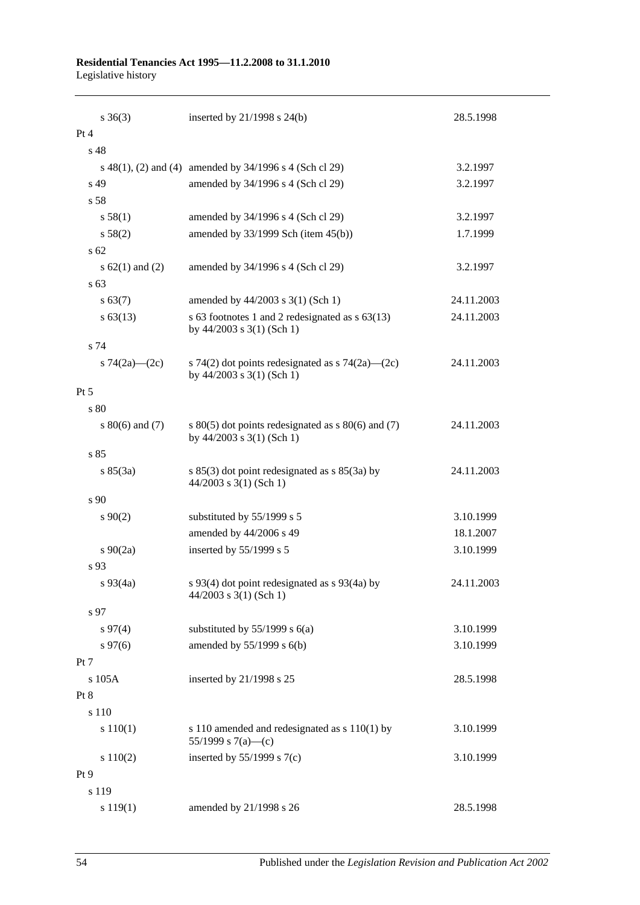#### **Residential Tenancies Act 1995—11.2.2008 to 31.1.2010** Legislative history

| $s \; 36(3)$        | inserted by $21/1998$ s $24(b)$                                                     | 28.5.1998  |
|---------------------|-------------------------------------------------------------------------------------|------------|
| Pt 4                |                                                                                     |            |
| s 48                |                                                                                     |            |
|                     | s 48(1), (2) and (4) amended by 34/1996 s 4 (Sch cl 29)                             | 3.2.1997   |
| s 49                | amended by 34/1996 s 4 (Sch cl 29)                                                  | 3.2.1997   |
| s 58                |                                                                                     |            |
| s 58(1)             | amended by 34/1996 s 4 (Sch cl 29)                                                  | 3.2.1997   |
| s 58(2)             | amended by $33/1999$ Sch (item $45(b)$ )                                            | 1.7.1999   |
| s 62                |                                                                                     |            |
| s $62(1)$ and $(2)$ | amended by 34/1996 s 4 (Sch cl 29)                                                  | 3.2.1997   |
| s 63                |                                                                                     |            |
| s 63(7)             | amended by 44/2003 s 3(1) (Sch 1)                                                   | 24.11.2003 |
| $s\,63(13)$         | s 63 footnotes 1 and 2 redesignated as s 63(13)<br>by $44/2003$ s $3(1)$ (Sch 1)    | 24.11.2003 |
| s 74                |                                                                                     |            |
| s $74(2a)$ (2c)     | s 74(2) dot points redesignated as s 74(2a)—(2c)<br>by $44/2003$ s $3(1)$ (Sch 1)   | 24.11.2003 |
| Pt 5                |                                                                                     |            |
| s 80                |                                                                                     |            |
| s $80(6)$ and $(7)$ | s $80(5)$ dot points redesignated as s $80(6)$ and (7)<br>by 44/2003 s 3(1) (Sch 1) | 24.11.2003 |
| s 85                |                                                                                     |            |
| s 85(3a)            | s $85(3)$ dot point redesignated as s $85(3a)$ by<br>$44/2003$ s 3(1) (Sch 1)       | 24.11.2003 |
| s 90                |                                                                                     |            |
| $s\ 90(2)$          | substituted by 55/1999 s 5                                                          | 3.10.1999  |
|                     | amended by 44/2006 s 49                                                             | 18.1.2007  |
| $s \ 90(2a)$        | inserted by 55/1999 s 5                                                             | 3.10.1999  |
| s 93                |                                                                                     |            |
| $s\,93(4a)$         | s 93(4) dot point redesignated as s 93(4a) by<br>$44/2003$ s 3(1) (Sch 1)           | 24.11.2003 |
| s 97                |                                                                                     |            |
| $s\,97(4)$          | substituted by $55/1999$ s $6(a)$                                                   | 3.10.1999  |
| $s\,97(6)$          | amended by 55/1999 s 6(b)                                                           | 3.10.1999  |
| Pt 7                |                                                                                     |            |
| s 105A              | inserted by 21/1998 s 25                                                            | 28.5.1998  |
| Pt 8                |                                                                                     |            |
| s 110               |                                                                                     |            |
| s 110(1)            | s 110 amended and redesignated as s 110(1) by<br>55/1999 s 7(a)—(c)                 | 3.10.1999  |
| s 110(2)            | inserted by $55/1999$ s $7(c)$                                                      | 3.10.1999  |
| Pt <sub>9</sub>     |                                                                                     |            |
| s 119               |                                                                                     |            |
| s 119(1)            | amended by 21/1998 s 26                                                             | 28.5.1998  |